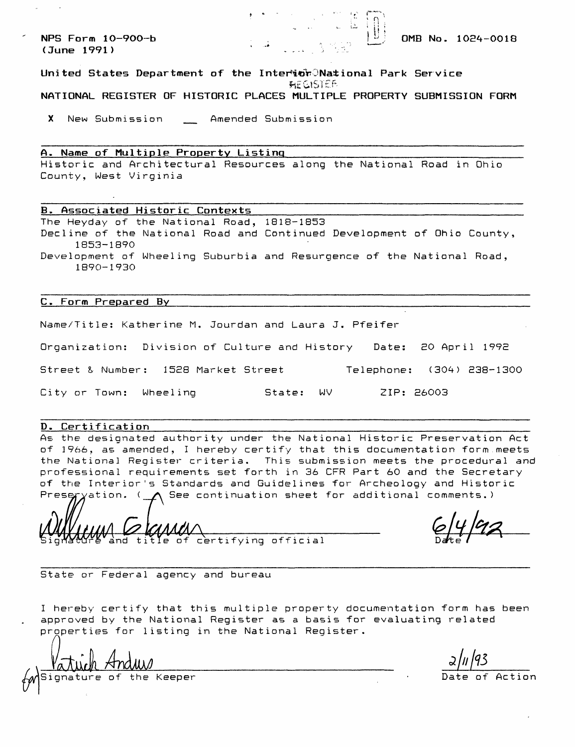**NPS Form 10-900-b**  $\begin{bmatrix} 10 & 0 \\ 0 & 0 \end{bmatrix}$  **OMB No. 1024-0018** 

**(June 1991) '-\*.,...":>**

## **United States Department of the Interior JNational Park Service AEGISTER NATIONAL REGISTER OF HISTORIC PLACES MULTIPLE PROPERTY SUBMISSION FORM**

X New Submission \_ Amended Submission

# **A. Name of Multiple Property Listing\_\_\_\_\_\_\_\_\_\_\_\_\_\_\_\_\_\_\_\_\_\_\_\_\_\_\_\_\_\_\_\_**

Historic and Architectural Resources along the National Road in Ohio County, West Virginia

#### **B. Associated Historic Contexts\_\_\_\_\_\_\_\_\_\_\_\_\_\_\_\_\_\_\_\_\_\_\_\_\_\_\_\_\_\_\_\_\_\_\_\_\_\_**

The Heyday of the National Road, 1818-1853 Decline of the National Road and Continued Development of Ohio County, 1853-1890 Development of Wheeling Suburbia and Resurgence of the National Road, 1890-1930

#### **C. Form Prepared By\_\_\_\_\_\_\_\_\_\_\_\_\_\_\_\_\_\_\_\_\_\_\_\_\_\_\_\_\_\_\_\_\_\_\_\_\_\_\_\_\_\_\_\_\_\_\_\_\_\_**

Name/Title: Katherine M. Jourdan and Laura J. Pfeifer

Organization: Division of Culture and History Date: 20 April 1992

Street & Number: 1528 Market Street Telephone: (304) 238-1300

City or Town: Wheeling State: WV ZIP: 26003

#### **D. Certification\_\_\_\_\_\_\_\_**

As the designated authority under the National Historic Preservation Act of 3966, as amended, I hereby certify that this documentation form meets the National Register criteria. This submission meets the procedural and professional requirements set forth in 36 CFR Part 60 and the Secretary of the Interior's Standards and Guidelines for Archeology and Historic Prese $\gamma$ yation. ( $\bigwedge$  See continuation sheet for additional comments.)

and title of certifying official

State or Federal agency and bureau

I hereby certify that this multiple property documentation form has been approved by the National Register as a basis for evaluating related properties for listing in the National Register.

[Signature of the Keeper Date of Action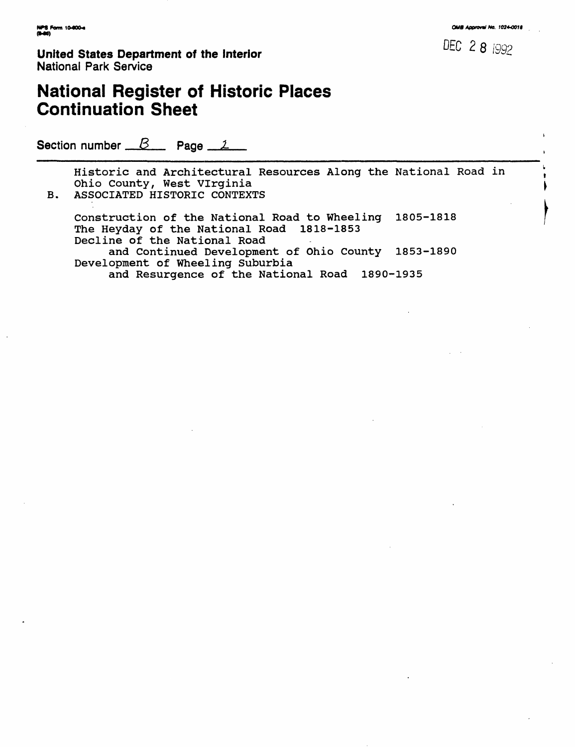**United States Department of the Interior 8 8 1992 Marshall DEC 2 8 1992** National Park Service

# **National Register of Historic Places Continuation Sheet**

Section number  $B$  Page  $1$ 

Historic and Architectural Resources Along the National Road in Ohio County, West Virginia B. ASSOCIATED HISTORIC CONTEXTS

Construction of the National Road to Wheeling 1805-1818 The Heyday of the National Road 1818-1853 Decline of the National Road and Continued Development of Ohio County 1853-1890 Development of Wheeling Suburbia and Resurgence of the National Road 1890-1935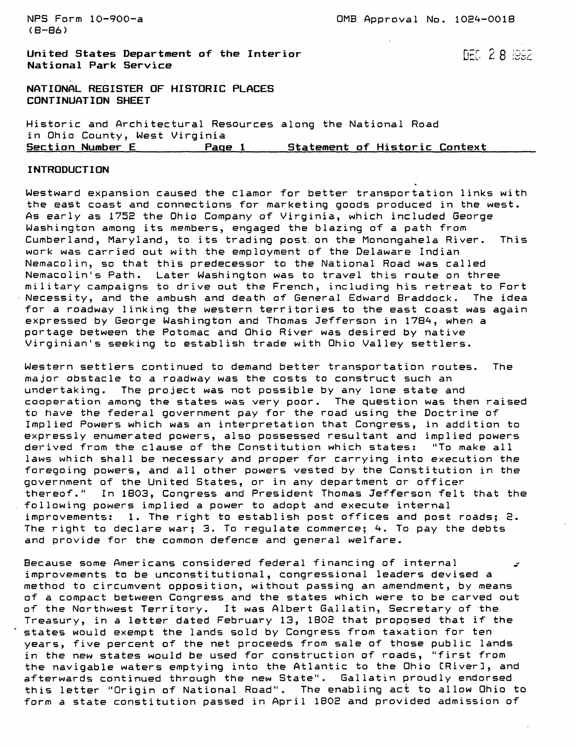(B-86)

**United States Department of the Interior**  $\text{DEG}$  **2 <b>8**  $\text{BSE}$ **National Park Service**

**NATIONAL REGISTER OF HISTORIC PLACES CONTINUATION SHEET**

Historic and Architectural Resources along the National Road in Ohio County, West Virginia<br>Section Number E Page Page 1 **Statement of Historic Context** 

#### **INTRODUCTION**

Westward expansion caused the clamor for better transportation links with the east coast and connections for marketing goods produced in the west. As early as 175E the Ohio Company of Virginia, which included George Washington among its members, engaged the blazing of a path from Cumberland, Maryland, to its trading post, on the Monongahela River. This work was carried out with the employment of the Delaware Indian Nemacolin, so that this predecessor to the National Road was called Nemacolin's Path. Later Washington was to travel this route on three military campaigns to drive out the French, including his retreat to Fort Necessity, and the ambush and death of General Edward Braddock. The idea for a roadway linking the western territories to the east coast was again expressed by George Washington and Thomas Jefferson in 1784, when a portage between the Potomac and Ohio River was desired by native Virginian's seeking to establish trade with Ohio Valley settlers.

Western settlers continued to demand better transportation routes. The major obstacle to a roadway was the costs to construct such an undertaking. The project was not possible by any lone state and cooperation among the states was very poor. The question was then raised to have the federal government pay for the road using the Doctrine of Implied Powers which was an interpretation that Congress, in addition to expressly enumerated powers, also possessed resultant and implied powers derived from the clause of the Constitution which states: "To make all laws which shall be necessary and proper for carrying into execution the foregoing powers, and all other powers vested by the Constitution in the government of the United States, or in any department or officer thereof." In 1803, Congress and President Thomas Jefferson felt that the following powers implied a power to adopt and execute internal improvements: 1. The right to establish post offices and post roads; 2. The right to declare war; 3. To regulate commerce; 4. To pay the debts and provide for the common defence and general welfare.

Because some Americans considered federal financing of internal ^ improvements to be unconstitutional, congressional leaders devised a method to circumvent opposition, without passing an amendment, by means of a compact between Congress and the states which were to be carved out of the Northwest Territory. It was Albert Gallatin, Secretary of the Treasury, in a letter dated February 13, 1802 that proposed that if the states would exempt the lands sold by Congress from taxation for ten years, five percent of the net proceeds from sale of those public lands in the new states would be used for construction of roads, "first from the navigable waters emptying into the Atlantic to the Ohio CRiverl, and afterwards continued through the new State". Gallatin proudly endorsed this letter "Origin of National Road". The enabling act to allow Ohio to form a state constitution passed in April 1802 and provided admission of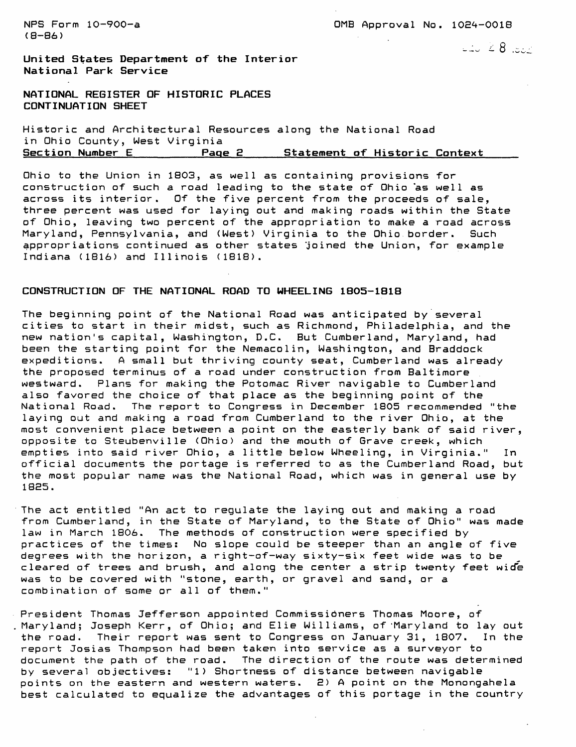$(B - B)$ 

NPS Form 10-900-a 0MB Approval No. 1024-0018

 $\Box \Box$   $\angle$  8  $\Box$ 

**United States Department of the Interior National Park Service**

NATIONAL REGISTER OF HISTORIC PLACES CONTINUATION SHEET

Historic and Architectural Resources along the National Road in Ohio County, West Virginia Page 2 **Statement of Historic Context** 

Ohio to the Union in 1803, as well as containing provisions for construction of such a road leading to the state of Ohio as well as across its interior. Of the five percent from the proceeds of sale, three percent was used for laying out and making roads within the State of Ohio, leaving two percent of the appropriation to make a road across Maryland, Pennsylvania, and (West) Virginia to the Ohio border. Such appropriations continued as other states joined the Union, for example Indiana (1816) and Illinois (1818).

## **CONSTRUCTION OF THE NATIONAL ROAD TO WHEELING 1805-181B**

The beginning point of the National Road was anticipated by several cities to start in their midst, such as Richmond, Philadelphia, and the new nation's capital, Washington, D.C. But Cumberland, Maryland, had been the starting point for the Nemacolin, Washington, and Braddock expeditions. A small but thriving county seat, Cumberland was already the proposed terminus of a road under construction from Baltimore westward. Plans for making the Potomac River navigable to Cumberland also favored the choice of that place as the beginning point of the National Road. The report to Congress in December 1805 recommended "the laying out and making a road from Cumberland to the river Ohio, at the most convenient place between a point on the easterly bank of said river, opposite to Steubenville (Ohio) and the mouth of Grave creek, which empties into said river Ohio, a little below Wheeling, in Virginia." In official documents the portage is referred to as the Cumberland Road, but the most popular name was the National Road, which was in general use by 18E5.

The act entitled "An act to regulate the laying out and making a road from Cumberland, in the State of Maryland, to the State of Ohio" was made law in March 1806. The methods of construction were specified by practices of the times: No slope could be steeper than an angle of five degrees with the horizon, a right-of-way sixty-six feet wide was to be cleared of trees and brush, and along the center a strip twenty feet wicfe was to be covered with "stone, earth, or gravel and sand, or a combination of some or all of them."

President Thomas Jefferson appointed Commissioners Thomas Moore, of Maryland; Joseph Kerr, of Ohio; and Elie Williams, of 'Maryland to lay out the road. Their report was sent to Congress on January 31, 1807. In the report Josias Thompson had been taken into service as a surveyor to document the path of the road. The direction of the route was determined by several objectives: "1) Shortness of distance between navigable points on the eastern and western waters. 2) A point on the Monongahela best calculated to equalize the advantages of this portage in the country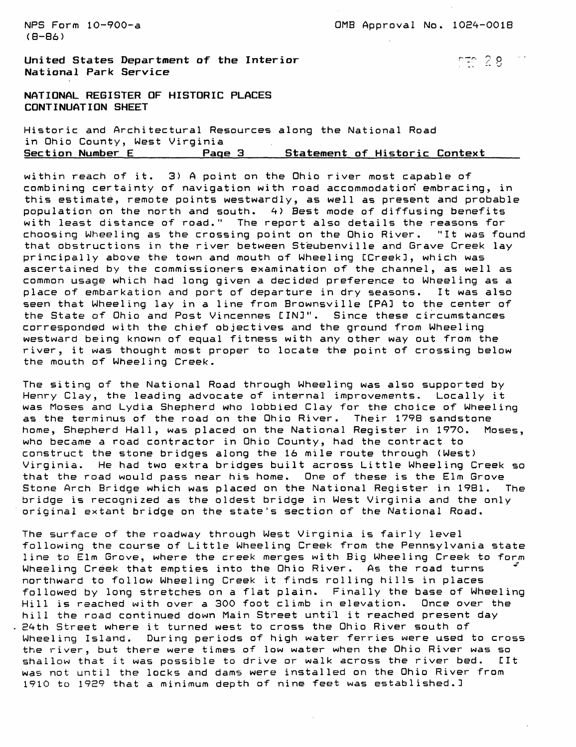NPS Form 10-900-a 2000 CDMB Approval No. 1024-0018

**United States Department of the Interior r <sup>~</sup>'" 9 8 National Park Service**

**NATIONAL REGISTER OF HISTORIC PLACES CONTINUATION SHEET**

Historic and Architectural Resources along the National Road in Ohio County, West Virginia **Page 3** \_\_\_\_ Statement of Historic Context

within reach of it. 3) A point on the Ohio river most capable of combining certainty of navigation with road accommodation embracing, in this estimate, remote points westwardly, as well as present and probable population on the north and south. 4) Best mode of diffusing benefits with least distance of road." The report also details the reasons for choosing Wheeling as the crossing point on the Ohio River. "It was found that obstructions in the river between Steubenville and Grave Creek lay principally above the town and mouth of Wheeling CCreekl, which was ascertained by the commissioners examination of the channel, as well as common usage which had long given a decided preference to Wheeling as a place of embarkation and port of departure in dry seasons. It was also seen that Wheeling lay in a line from Brownsville [PA] to the center of the State of Ohio and Post Vincennes CIN3". Since these circumstances corresponded with the chief objectives and the ground from Wheeling westward being known of equal fitness with any other way out from the river, it was thought most proper to locate the point of crossing below the mouth of Wheeling Creek.

The siting of the National Road through Wheeling was also supported by Henry Clay, the leading advocate of internal improvements. Locally it was Moses and Lydia Shepherd who lobbied Clay for the choice of Wheeling as the terminus of the road on the Ohio River. Their 1798 sandstone home, Shepherd Hall, was placed on the National Register in 1970. Moses, who became a road contractor in Ohio County, had the contract to construct the stone bridges along the 16 mile route through (West) Virginia. He had two extra bridges built across Little Wheeling Creek so that the road would pass near his home. One of these is the Elm Grove Stone Arch Bridge which was placed on the National Register in 1981. The bridge is recognized as the oldest bridge in West Virginia and the only original extant bridge on the state's section of the National Road.

The surface of the roadway through West Virginia is fairly level following the course of Little Wheeling Creek from the Pennsylvania state line to Elm Grove, where the creek merges with Big Wheeling Creek to form Wheeling Creek that empties into the Ohio River. As the road turns northward to follow Wheeling Creek it finds rolling hills in places followed by long stretches on a flat plain. Finally the base of Wheeling Hill is reached with over a 300 foot climb in elevation. Once over the hill the road continued down Main Street until it reached present day 24th Street where it turned west to cross the Ohio River south of Wheeling Island. During periods of high water ferries were used to cross the river, but there were times of low water when the Ohio River was so shallow that it was possible to drive or walk across the river bed. CIt was not until the locks and dams were installed on the Ohio River from 1910 to 1929 that a minimum depth of nine feet was estab1ished.3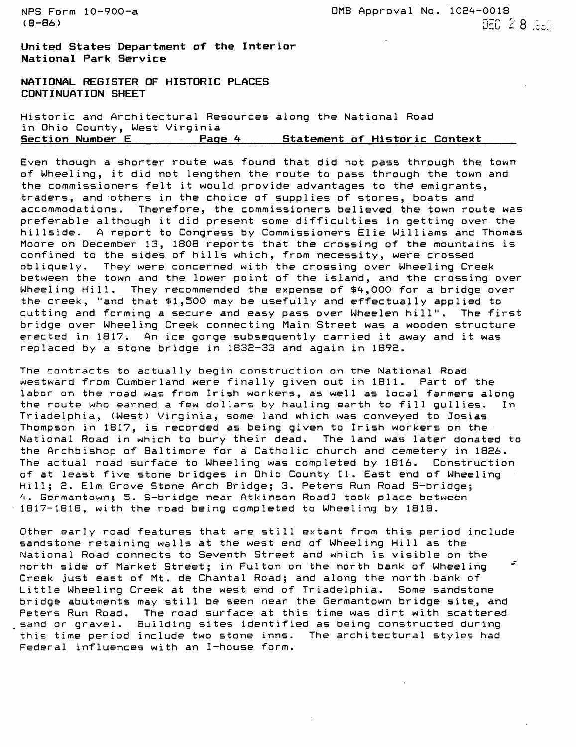NFS Form 10-900-a 0MB Approval No. 1024-0018  $\overline{\text{G-86}}$  , and  $\overline{\text{G-86}}$  and  $\overline{\text{G-86}}$  and  $\overline{\text{G-86}}$  and  $\overline{\text{G-86}}$  and  $\overline{\text{G-86}}$  and  $\overline{\text{G-86}}$  and  $\overline{\text{G-86}}$  and  $\overline{\text{G-86}}$  and  $\overline{\text{G-86}}$  and  $\overline{\text{G-86}}$  and  $\overline{\text{G-86}}$  and  $\over$ 

**United States Department of the Interior National Park Service**

NATIONAL REGISTER OF HISTORIC PLACES CONTINUATION SHEET

Historic and Architectural Resources along the National Road in Ohio County, West Virginia<br>Section Number E Page **Page 4 5tatement of Historic Context** 

Even though a shorter route was found that did not pass through the town of Wheeling, it did not lengthen the route to pass through the town and the commissioners felt it would provide advantages to the emigrants, traders, and others in the choice of supplies of stores, boats and accommodations. Therefore, the commissioners believed the town route was preferable although it did present some difficulties in getting over the hillside. A report to Congress by Commissioners Elie Williams and Thomas Moore on December 13, 1808 reports that the crossing of the mountains is confined to the sides of hills which, from necessity, were crossed obliquely. They were concerned with the crossing over Wheeling Creek between the town and the lower point of the island, and the crossing over Wheeling Hill. They recommended the expense of \$4,000 for a bridge over the creek, "and that \$1,500 may be usefully and effectually applied to cutting and forming a secure and easy pass over Wheelen hill". The first bridge over Wheeling Creek connecting Main Street was a wooden structure erected in 1817. An ice gorge subsequently carried it away and it was replaced by a stone bridge in 1832-33 and again in 1892.

The contracts to actually begin construction on the National Road westward from Cumberland were finally given out in 1811. Part of the labor on the road was from Irish workers, as well as local farmers along the route who earned a few dollars by hauling earth to fill gullies. In Triadelphia, (West) Virginia, some land which was conveyed to Josias Thompson in 1817, is recorded as being given to Irish workers on the National Road in which to bury their dead. The land was later donated to the Archbishop of Baltimore for a Catholic church and cemetery in 1826. The actual road surface to Wheeling was completed by 1816. Construction of at least five stone bridges in Ohio County Cl. East end of Wheeling Hill; 2. Elm Grove Stone Arch Bridge; 3. Peters Run Road S-bridge; 4. Germantown; 5. S-bridge near Atkinson Road] took place between 1817-1818, with the road being completed to Wheeling by 1818.

Other early road features that are still extant from this period include sandstone retaining walls at the west end of Wheeling Hill as the National Road connects to Seventh Street and which is visible on the north side of Market Street; in Fulton on the north bank of Wheeling <sup>~</sup> Creek just east of Mt. de Chantal Road; and along the north bank of Little Wheeling Creek at the west end of Triadelphia. Some sandstone bridge abutments may still be seen near the Germantown bridge site,, and Peters Run Road. The road surface at this time was dirt with scattered sand or gravel. Building sites identified as being constructed during this time period include two stone inns. The architectural styles had Federal influences with an I-house form.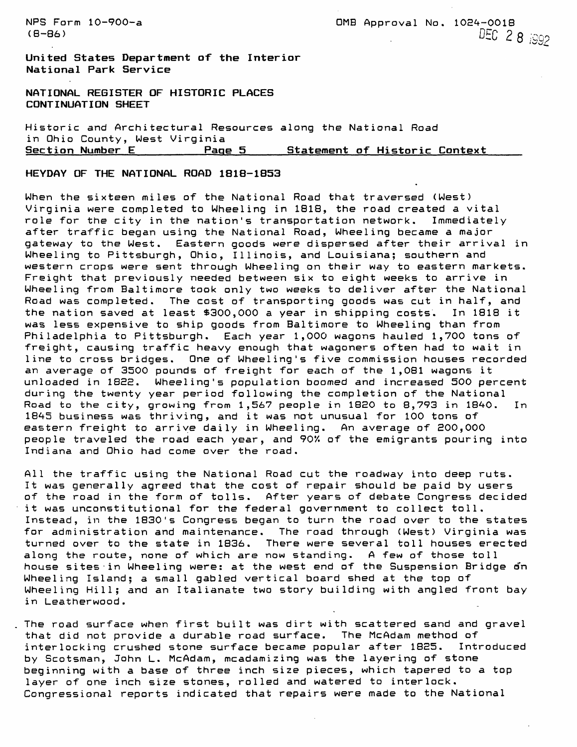**United States Department of the Interior National Park Service**

**NATIONAL REGISTER OF HISTORIC PLACES CONTINUATION SHEET**

Historic and Architectural Resources along the National Road in Ohio County, West Virginia<br>Section Number E Page Page 5 **Statement of Historic Context** 

**HEYDAY OF THE NATIONAL ROAD 1818-1853**

When the sixteen miles of the National Road that traversed (West) Virginia were completed to Wheeling in 1818, the road created a vital role for the city in the nation's transportation network. Immediately after traffic began using the National Road, Wheeling became a major gateway to the West. Eastern goods were dispersed after their arrival in Wheeling to Pittsburgh, Ohio, Illinois, and Louisiana; southern and western crops were sent through Wheeling on their way to eastern markets. Freight that previously needed between six to eight weeks to arrive in Wheeling from Baltimore took only two weeks to deliver after the National Road was completed. The cost of transporting goods was cut in half, and the nation saved at least \$300,000 a year in shipping costs. In 1818 it was less expensive to ship goods from Baltimore to Wheeling than from Philadelphia to Pittsburgh. Each year 1,000 wagons hauled 1,700 tons of freight, causing traffic heavy enough that wagoners often had to wait in line to cross bridges. One of Wheeling's five commission houses recorded an average of 3500 pounds of freight for each of the 1,081 wagons it unloaded in 1822. Wheeling's population boomed and increased 500 percent during the twenty year period following the completion of the National Road to the city, growing from  $1,567$  people in  $1820$  to  $8,793$  in  $1840$ . In 1845 business was thriving, and it was not unusual for 100 tons of eastern freight to arrive daily in Wheeling. An average of 200,000 people traveled the road each year, and 907. of the emigrants pouring into Indiana and Ohio had come over the road.

All the traffic using the National Road cut the roadway into deep ruts. It was generally agreed that the cost of repair should be paid by users of the road in the form of tolls. After years of debate Congress decided it was unconstitutional for the federal government to collect toll. Instead, in the 1830's Congress began to turn the road over to the states for administration and maintenance. The road through (West) Virginia was turned over to the state in 1836. There were several toll houses erected along the route, none of which are now standing. A few of those toll house sites in Wheeling were: at the west end of the Suspension Bridge on Wheeling Island; a small gabled vertical board shed at the top of Wheeling Hill; and an Italianate two story building with angled front bay in Leatherwood.

The road surface when first built was dirt with scattered sand and gravel that did not provide a durable road surface. The McAdam method of interlocking crushed stone surface became popular after 1825. Introduced by Scotsman, John L. McAdam, mcadamizing was the layering of stone beginning with a base of three inch size pieces, which tapered to a top layer of one inch size stones, rolled and watered to interlock. Congressional reports indicated that repairs were made to the National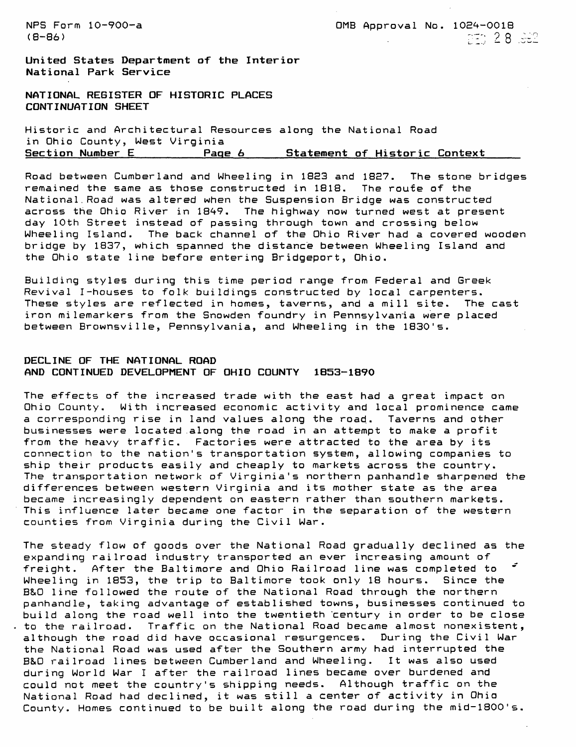**United States Department of the Interior National Park Service**

**NATIONAL REGISTER OF HISTORIC PLACES CONTINUATION SHEET**

Historic and Architectural Resources along the National Road in Ohio County, West Virginia **Page 6** Statement of Historic Context

Road between Cumberland and Wheeling in 1823 and 1827. The stone bridges remained the same as those constructed in 1818. The route of the National.Road was altered when the Suspension Bridge was constructed across the Ohio River in 1849. The highway now turned west at present day 10th Street instead of passing through town and crossing below Wheeling Island. The back channel of the Ohio River had a covered wooden bridge by 1837, which spanned the distance between Wheeling Island and the Ohio state line before entering Bridgeport, Ohio.

Building styles during this time period range from Federal and Greek Revival I-houses to folk buildings constructed by local carpenters. These styles are reflected in homes, taverns, and a mill site. The cast iron milemarkers from the Snowden foundry in Pennsylvania were placed between Brownsville, Pennsylvania, and Wheeling in the 1830's.

## **DECLINE OF THE NATIONAL ROAD AND CONTINUED DEVELOPMENT OF OHIO COUNTY 1853-1890**

The effects of the increased trade with the east had a great impact on Ohio County. With increased economic activity and local prominence came a corresponding rise in land values along the road. Taverns and other businesses were located .along the road in an attempt to make a profit from the heavy traffic. Factories were attracted to the area by its connection to the nation's transportation system, allowing companies to ship their products easily and cheaply to markets across the country. The transportation network of Virginia's northern panhandle sharpened the differences between western Virginia and its mother state as the area became increasingly dependent on eastern rather than southern markets. This influence later became one factor in the separation of the western counties from Virginia during the Civil War.

The steady flow of goods over the National Road gradually declined as the expanding railroad industry transported an ever increasing amount of freight. After the Baltimore and Ohio Railroad line was completed to " Wheeling in 1853, the trip to Baltimore took only 18 hours. Since the B&O line followed the route of the National Road through the northern panhandle, taking advantage of established towns, businesses continued to build along the road well into the twentieth "century in order to be close to the railroad. Traffic on the National Road became almost nonexistent, although the road did have occasional resurgences. During the Civil War the National Road was used after the Southern army had interrupted the B&O railroad lines between Cumberland and Wheeling. It was also used during World War I after the railroad lines became over burdened and could not meet the country's shipping needs. Although traffic on the National Road had declined, it was still a center of activity in Ohio County. Homes continued to be built along the road during the mid-1800's.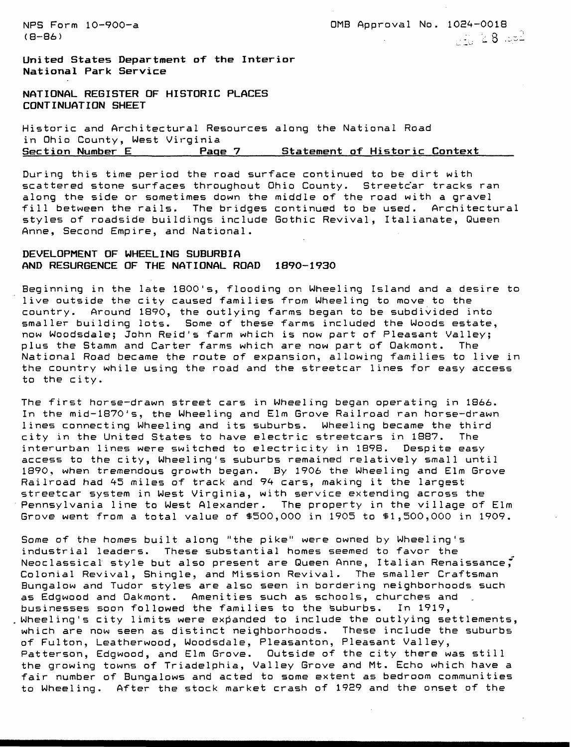NPS Form 10-900-a 0MB Approval No. 1024-0018 (8-86) . : . > 8 .:.--

**United States Department of the Interior National Park Service**

**NATIONAL REGISTER OF HISTORIC PLACES CONTINUATION SHEET**

Historic and Architectural Resources along the National Road in Ohio County, West Virginia<br>Section Number E **Page 7** Statement of Historic Context

During this time period the road surface continued to be dirt with scattered stone surfaces throughout Ohio County. Streetcar tracks ran along the side or sometimes down the middle of the road with a gravel fill between the rails. The bridges continued to be used. Architectural styles of roadside buildings include Gothic Revival, Italianate, Queen Anne, Second Empire, and National.

## **DEVELOPMENT OF WHEELING SUBURBIA AND RESURGENCE OF THE NATIONAL ROAD 1890-193O**

Beginning in the late 1800's, flooding on Wheeling Island and a desire to live outside the city caused families from Wheeling to move to the country. Around 1890, the outlying farms began to be subdivided into smaller building lots. Some of these farms included the Woods estate, now Woodsdale; John Reid's farm which is now part of Pleasant Valley; plus the Stamm and Carter farms which are now part of Oakmont. The National Road became the route of expansion, allowing families to live in the country while using the road and the streetcar lines for easy access to the city.

The first horse-drawn street cars in Wheeling began operating in 1866. In the mid-1870's, the Wheeling and Elm Grove Railroad ran horse-drawn lines connecting Wheeling and its suburbs. Wheeling became the third city in the United States to have electric streetcars in 1887. The interurban lines were switched to electricity in 1898. Despite easy access to the city, Wheeling's suburbs remained relatively small until 1890, when tremendous growth began. By 1906 the Wheeling and Elm Grove Railroad had 45 miles of track and 94 cars, making it the largest streetcar system in West Virginia, with service extending across the Pennsylvania line to West Alexander. The property in the village of Elm Grove went from a total value of \$500,000 in 1905 to \$1,500,000 in 1909.

Some of the homes built along "the pike" were owned by Wheeling's industrial leaders. These substantial homes seemed to favor the Neoclassical style but also present are Queen Anne, Italian Renaissance," Colonial Revival, Shingle, and Mission Revival. The smaller Craftsman Bungalow and Tudor styles are also seen in bordering neighborhoods such as Edgwood and Oakmont. Amenities such as schools, churches and businesses soon followed the families to the suburbs. In 1919, Wheeling's city limits were expanded to include the outlying settlements, which are now seen as distinct neighborhoods. These include the suburbs of Fulton, Leatherwood, Woodsdale, Pleasanton, Pleasant Valley, Patterson, Edgwood, and Elm Grove. Outside of the city there was still the growing towns of Triadelphia, Valley Grove and Mt. Echo which have a fair number of Bungalows and acted to some extent as bedroom communities to Wheeling. After the stock market crash of 19E9 and the onset of the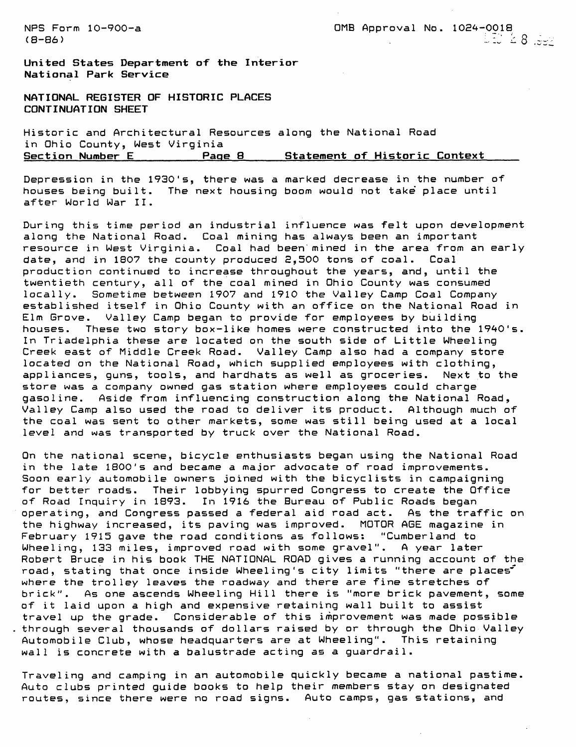NPS Form 10-900-a 0MB Approval No. 1024-0018 (8–86) ರಾಜಕೀಯ ಮಾಡಿದ್ದಾರೆ. ಅವರ ಸಂಘಟನೆಗಳ ಸಂಘಟನೆಗಳ ಸಂಘಟನೆಗಳ ಸಂಘಟನೆಗಳ ಸಂಘಟನೆಗಳ ಸಂಘಟನೆಗಳ ಸಂಘಟನೆಗಳ ಸಂಘಟನೆಗಳ ಸಂಘಟನೆಗಳ

United States Department of the Interior **National Park Service**

**NATIONAL REGISTER OF HISTORIC PLACES CONTINUATION SHEET**

Historic and Architectural Resources along the National Road in Ohio County, West Virginia **Page 8** Statement of Historic Context

Depression in the 1930's, there was a marked decrease in the number of houses being built. The next housing boom would not take place until after World War II.

During this time period an industrial influence was felt upon development along the National Road. Coal mining has always been an important resource in West Virginia. Coal had been mined in the area from an early date, and in 1807 the county produced 2,500 tons of coal. Coal production continued to increase throughout the years, and, until the twentieth century, all of the coal mined in Ohio County was consumed locally. Sometime between 1907 and 1910 the Valley Camp Coal Company established itself in Ohio County with an office on the National Road in Elm Grove. Valley Camp began to provide for employees by building houses. These two story box-like homes were constructed into the 1940's. In Triadelphia these are located on the south side of Little Wheeling Creek east of Middle Creek Road. Valley Camp also had a company store located on the National Road, which supplied employees with clothing, appliances, guns, tools, and hardhats as well as groceries. Next to the store was a company owned gas station where employees could charge gasoline. Aside from influencing construction along the National Road, Valley Camp also used the road to deliver its product. Although much of the coal was sent to other markets, some was still being used at a local level and was transported by truck over the National Road.

On the national scene, bicycle enthusiasts began using the National Road in the late 1800's and became a major advocate of road improvements. Soon early automobile owners joined with the bicyclists in campaigning for better roads. Their lobbying spurred Congress to create the Office of Road Inquiry in 1893. In 1916 the Bureau of Public Roads began operating, and Congress passed a federal aid road act. As the traffic on the highway increased, its paving was improved. MOTOR AGE magazine in February 1915 gave the road conditions as follows: "Cumberland to Wheeling, 133 miles, improved road with some gravel". A year later Robert Bruce in his book THE NATIONAL ROAD gives a running account of the road, stating that once inside Wheeling's city limits "there are places" where the trolley leaves the roadway and there are fine stretches of brick". As one ascends Wheeling Hill there is "more brick pavement, some of it laid upon a high and expensive retaining wall built to assist travel up the grade. Considerable of this improvement was made possible through several thousands of dollars raised by or through the Ohio Valley Automobile Club, whose headquarters are at Wheeling". This retaining wall is concrete with a balustrade acting as a guardrail.

Traveling and camping in an automobile quickly became a national pastime. Auto clubs printed guide books to help their members stay on designated routes, since there were no road signs. Auto camps, gas stations, and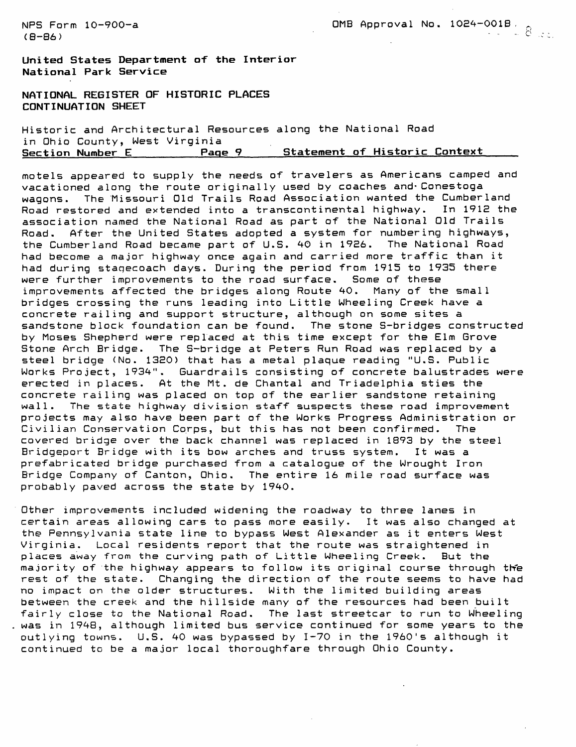$(B-B6)$  -  $B5$ 

NFS Form 10-900-a 0MB Approval No. 1024-001B .

**United States Department of the Interior National Park Service**

**NATIONAL REGISTER OF HISTORIC PLACES CONTINUATION SHEET**

Historic and Architectural Resources along the National Road in Ohio County, West Virginia Page 9 Statement of Historic Context

motels appeared to supply the needs of travelers as Americans camped and vacationed along the route originally used by coaches and'Conestoga wagons. The Missouri Old Trails Road Association wanted the Cumberland Road restored and extended into a transcontinental highway. In 1912 the association named the National Road as part of the National Old Trails Road. After the United States adopted a system for numbering highways, the Cumberland Road became part of U.S. 40 in 1926. The National Road had become a major highway once again and carried more traffic than it had during stagecoach days. During the period from 1915 to 1935 there were further improvements to the road surface. Some of these improvements affected the bridges along Route 40. Many of the small bridges crossing the runs leading into Little Wheeling Creek have a concrete railing and support structure, although on some sites a sandstone block foundation can be found. The stone S-bridges constructed by Moses Shepherd were replaced at this time except for the Elm Grove Stone Arch Bridge. The S-bridge at Peters Run Road was replaced by a steel bridge (No. 1320) that has a metal plaque reading "U.S. Public Works Project, 1934". Guardrails consisting of concrete balustrades were erected in places. At the Mt. de Chantal and Triadelphia sties the concrete railing was placed on top of the earlier sandstone retaining wall. The state highway division staff suspects these road improvement projects may also have been part of the Works Progress Administration or Civilian Conservation Corps, but this has not been confirmed. The covered bridge over the back channel was replaced in 1893 by the steel Bridgeport Bridge with its bow arches and truss system. It was a prefabricated bridge purchased from a catalogue of the Wrought Iron Bridge Company of Canton, Ohio. The entire 16 mile road surface was probably paved across the state by 1940.

Other improvements included widening the roadway to three lanes in certain areas allowing cars to pass more easily. It was also changed at the Pennsylvania state line to bypass West Alexander as it enters West Virginia. Local residents report that the route was straightened in places away from the curving path of Little Wheeling Creek. But the majority of the highway appears to follow its original course through the rest of the state. Changing the direction of the route seems to have had no impact on the older structures. With the limited building areas between the creek and the hillside many of the resources had been built fairly close to the National Road. The last streetcar to run to Wheeling was in 1948, although limited bus service continued for some years to the outlying towns. U.S. 40 was bypassed by 1-70 in the 1960's although it continued to be a major local thoroughfare through Ohio County.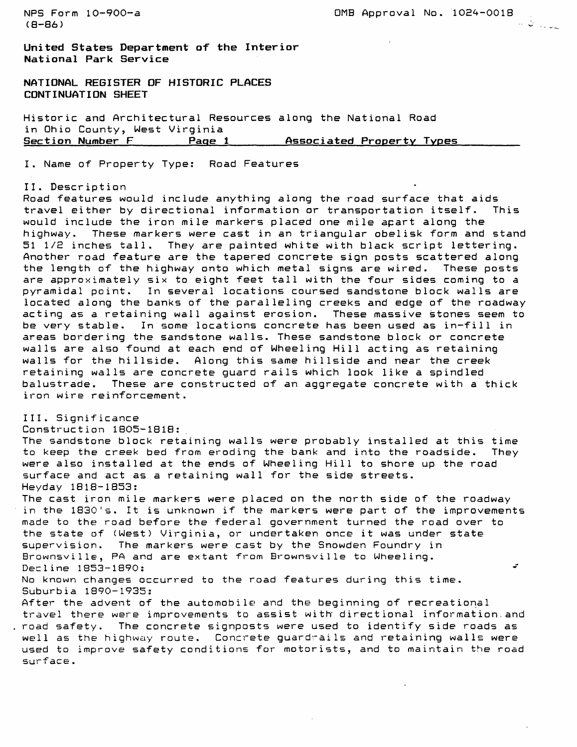NPS Form  $10-900-a$  0MB Approval No.  $1024-0018$ (8-86)

**United States Department of the Interior National Park Service**

**NATIONAL REGISTER OF HISTORIC PLACES CONTINUATION SHEET**

Historic and Architectural Resources along the National Road in Ohio County, West Virginia<br>Section Number F. Page 1 **Associated Property Types** 

I. Name of Property Type: Road Features

II. Description

Road features would include anything along the road surface that aids<br>travel either by directional information or transportation itself. This travel either by directional information or transportation itself. would include the iron mile markers placed one mile apart along the highway. These markers were cast in an triangular obelisk form and stand 51 1/2 inches tall. They are painted white with black script lettering. Another road feature are the tapered concrete sign posts scattered along the length of the highway onto which metal signs are wired. These posts are approximately six to eight feet tall with the four sides coming to a pyramidal point. In several locations coursed sandstone block walls are located along the banks of the paralleling creeks and edge of the roadway acting as a retaining wall against erosion. These massive stones seem to be very stable. In some locations concrete has been used as in-fill in areas bordering the sandstone walls. These sandstone block or concrete walls are also found at each end of Wheeling Hill acting as retaining walls for the hillside. Along this same hillside and near the creek retaining walls are concrete guard rails which look like a spindled balustrade. These are constructed of an aggregate concrete with a thick iron wire reinforcement.

III. Significance Construction 18O5-1818: The sandstone block retaining walls were probably installed at this time to keep the creek bed from eroding the bank and into the roadside. They were also installed at the ends of Wheeling Hill to shore up the road surface and act as a retaining wall for the side streets. Heyday 1818-1853: The cast iron mile markers were placed on the north side of the roadway in the 1830's. It is unknown if the markers were part of the improvements made to the road before the federal government turned the road over to the state of (West) Virginia, or undertaken once it was under state supervision. The markers were cast by the Snowden Foundry in Brownsville, PA and are extant from Brownsville to Wheeling.  $\mathbf{r}$ Decline 1853-1890: No known changes occurred to the road features during this time. Suburbia 1890-1935: After the advent of the automobile and the beginning of recreational travel there were improvements to assist with' directional information.and road safety. The concrete signposts were used to identify side roads as well as the highway route. Concrete guardrails and retaining walls were used to improve safety conditions for motorists, and to maintain the road surface.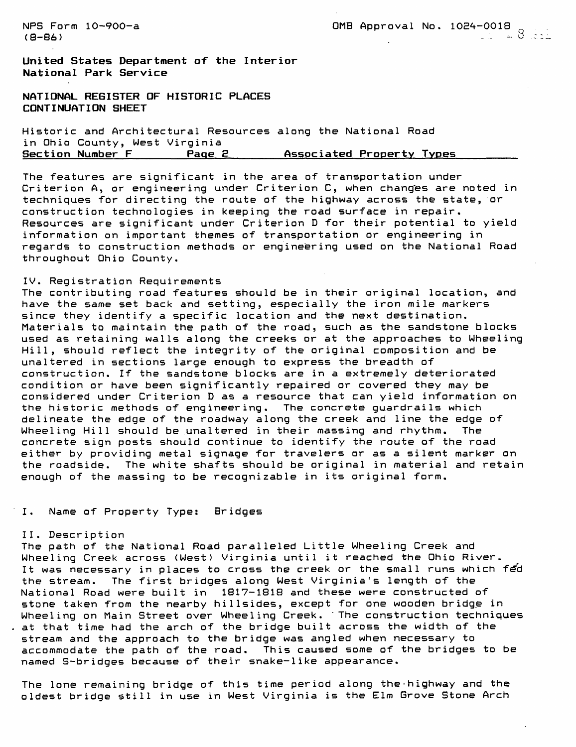(8–86) and the set of the set of the set of the set of the set of the set of the set of the set of the set of the set of the set of the set of the set of the set of the set of the set of the set of the set of the set of t

NFS Form 10-900-a 0MB Approval No. 1024-0018 r

**United States Department of the Interior National Park Service**

**NATIONAL REGISTER OF HISTORIC PLACES CONTINUATION SHEET**

Historic and Architectural Resources along the National Road in Ohio County, West Virginia **Section Number F\_\_\_\_\_\_\_Page B\_\_\_\_\_\_Associated Property Types\_\_\_\_\_\_\_\_**

The features are significant in the area of transportation under Criterion A, or engineering under Criterion C, when changes are noted in techniques for directing the route of the highway across the state, or construction technologies in keeping the road surface in repair. Resources are significant under Criterion D for their potential to yield information on important themes of transportation or engineering in regards to construction methods or engineering used on the National Road throughout Ohio County.

#### IV. Registration Requirements

The contributing road features should be in their original location, and have the same set back and setting, especially the iron mile markers since they identify a specific location and the next destination. Materials to maintain the path of the road, such as the sandstone blocks used as retaining walls along the creeks or at the approaches to Wheeling Hill, should reflect the integrity of the original composition and be unaltered in sections large enough to express the breadth of construction. If the sandstone blocks are in a extremely deteriorated condition or have been significantly repaired or covered they may be considered under Criterion D as a resource that can yield information on the historic methods of engineering. The concrete guardrails which delineate the edge of the roadway along the creek and line the edge of Wheeling Hill should be.unaltered in their massing and rhythm. The concrete sign posts should continue to identify the route of the road either by providing metal signage for travelers or as a silent marker on the roadside. The white shafts should be original in material and retain enough of the massing to be recognizable in its original form.

## I. Name of Property Type: Bridges

#### II. Description

The path of the National Road paralleled Little Wheeling Creek and Wheeling Creek across (West) Virginia until it reached the Ohio River. It was necessary in places to cross the creek or the small runs which fed the stream. The first bridges along West Virginia's length of the National Road were built in 1817-1818 and these were constructed of stone taken from the nearby hillsides, except for one wooden bridge in Wheeling on Main Street over Wheeling Creek. 'The construction techniques at that time had the arch of the bridge built across the width of the stream and the approach to the bridge was angled when necessary to accommodate the path of the road. This caused some of the bridges to be named S-bridges because of their snake-like appearance.

The lone remaining bridge of this time period along the-highway and the oldest bridge still in use in West Virginia is the Elm Grove Stone Arch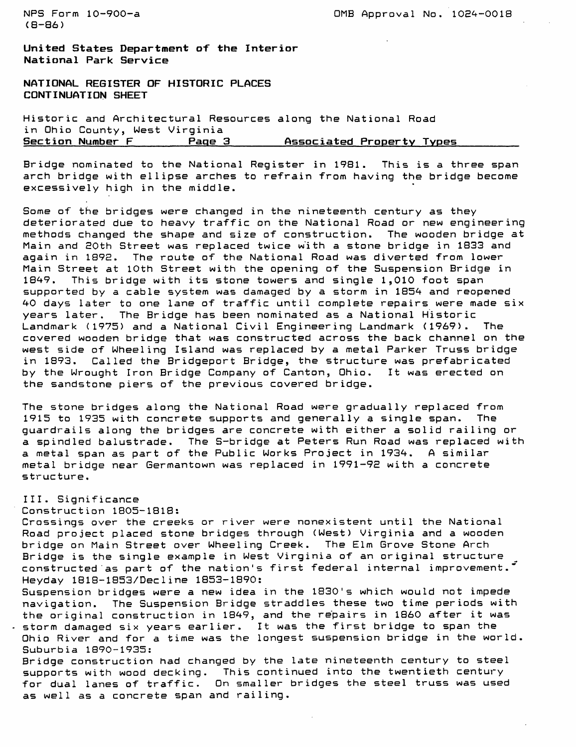$(B - B)$ 

NPS Form 10-900-a 2000 0MB Approval No. 1024-0018

**United States Department of the Interior National Park Service**

**NATIONAL REGISTER OF HISTORIC PLACES CONTINUATION SHEET**

Historic and Architectural Resources along the National Road in Ohio County, West Virginia **Section Number F\_\_\_\_\_\_\_Page 3\_\_\_\_\_\_\_Associated Property Types\_\_\_\_\_\_\_\_**

Bridge nominated to the National Register in 1981. This is a three span arch bridge with ellipse arches to refrain from having the bridge become excessively high in the middle.

Some of the bridges were changed in the nineteenth century as they deteriorated due to heavy traffic on the National Road or new engineering methods changed the shape and size of construction. The wooden bridge at Main and 20th Street was replaced twice with a stone bridge in 1833 and again in 1892. The route of the National Road was diverted from lower Main Street at 10th Street with the opening of the Suspension Bridge in 1849. This bridge with its stone towers and single 1,010 foot span supported by a cable system was damaged by a storm in 1854 and reopened 40 days later to one lane of traffic until complete repairs were made six years later. The Bridge has been nominated as a National Historic Landmark (1975) and a National Civil Engineering Landmark (1969). The covered wooden bridge that was constructed across the back channel on the west side of Wheeling Island was replaced by a metal Parker Truss bridge in 1893. Called the Bridgeport Bridge, the structure was prefabricated by the Wrought Iron Bridge Company of Canton, Ohio. It was erected on the sandstone piers of the previous covered bridge.

The stone bridges along the National Road were gradually replaced from 1915 to 1935 with concrete supports and generally a single span. The guardrails along the bridges are concrete with either a solid railing or a spindled balustrade. The S-bridge at Peters Run Road was replaced with a metal span as part of the Public Works Project in 1934. A similar metal bridge near Germantown was replaced in 1991-92 with a concrete structure.

## III. Significance

## Construction 1805-1818:

Crossings over the creeks or river were nonexistent until the National Road project placed stone bridges through (West) Virginia and a wooden bridge on Main Street over Wheeling Creek. The Elm Grove Stone Arch Bridge is the single example in West Virginia of an original structure constructed as part of the nation's first federal internal improvement." Heyday 1818-1853/Decline 1853-1890:

Suspension bridges were a new idea in the 1830's which would not impede navigation. The Suspension Bridge straddles these two time periods with the original construction in 1849, and the repairs in 1860 after it was storm damaged six years earlier. It was the first bridge to span the

Ohio River and for a time was the longest suspension bridge in the world. Suburbia 1890-1935:

Bridge construction had changed by the late nineteenth century to steel supports with wood decking. This continued into the twentieth century for dual lanes of traffic. On smaller bridges the steel truss was used as well as a concrete span and railing.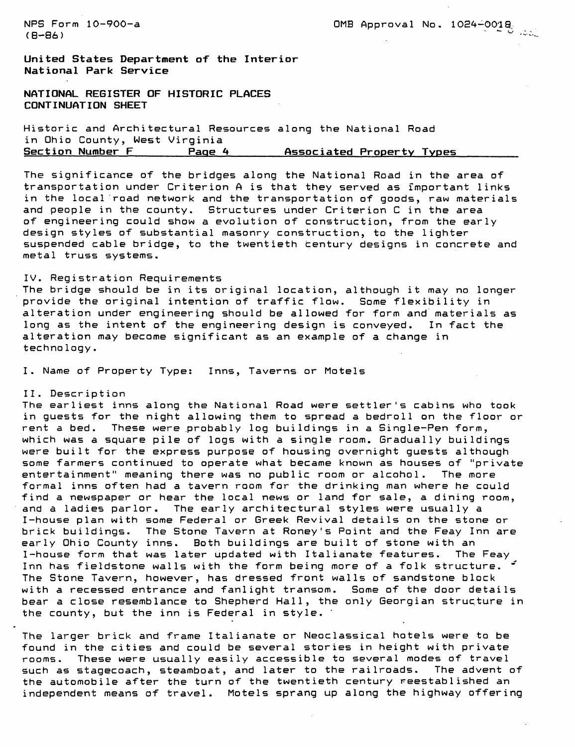$(8-86)$   $($ 

NPS Form 10-900-a 0MB Approval No. 10E4-001S

**United States Department of the Interior National Park Service**

**NATIONAL REGISTER OF HISTORIC PLACES CONTINUATION SHEET**

Historic and Architectural Resources along the National Road in Ohio County, West Virginia<br>Section Number F., Page Page 4 **Associated Property Types** 

The significance of the bridges along the National Road in the area of transportation under Criterion A is that they served as important links in the local road network and the transportation of goods, raw materials and people in the county. Structures under Criterion C in the area of engineering could show a evolution of construction, from the early design styles of substantial masonry construction, to the lighter suspended cable bridge, to the twentieth century designs in concrete and metal truss systems.

#### IV. Registration Requirements

The bridge should be in its original location, although it may no longer provide the original intention of traffic flow. Some flexibility in alteration under engineering should be allowed for form and materials as long as the intent of the engineering design is conveyed. In fact the alteration may become significant as an example of a change in technology.

I. Name of Property Type: Inns, Taverns or Motels

#### II. Descript ion

The earliest inns along the National Road were settler's cabins who took in guests for the night allowing them to spread a bedroll on the floor or rent a bed. These were probably log buildings in a Single-Pen form, which was a square pile of logs with a single room. Gradually buildings were built for the express purpose of housing overnight guests although some farmers continued to operate what became known as houses of "private entertainment" meaning there was no public room or alcohol. The more formal inns often had a tavern room for the drinking man where he could find a newspaper or hear the local news or land for sale, a dining room, and a ladies parlor. The early architectural styles were usually a I-house plan with some Federal or Greek Revival details on the stone or brick buildings. The Stone Tavern at Roney's Point and the Feay Inn are early Ohio County inns. Both buildings are built of stone with an I-house form that was later updated with Italianate features. The Feay Inn has fieldstone walls with the form being more of a folk structure. The Stone Tavern, however, has dressed front walls of sandstone block with a recessed entrance and fanlight transom. Some of the door details bear a close resemblance to Shepherd Hall, the only Georgian structure in the county, but the inn is Federal in style. '

The larger brick and frame Italianate or Neoclassical hotels were to be found in the cities and could be several stories in height with private rooms. These were usually easily accessible to several modes of travel such as stagecoach, steamboat, and later to the railroads. The advent of the automobile after the turn of the twentieth century reestablished an independent means of travel. Motels sprang up along the highway offering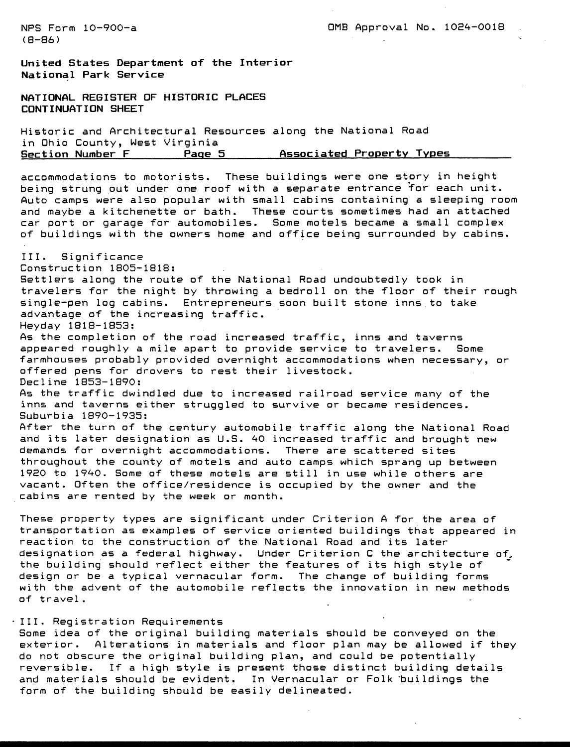NFS Form 10-900-a 0MB Approval No. 1024-0018

**United States Department of the Interior National Park Service**

**NATIONAL REGISTER OF HISTORIC PLACES CONTINUATION SHEET**

Historic and Architectural Resources along the National Road in Ohio County, West Virginia<br>Section Number F Page ! Page 5 \_\_\_\_\_\_\_ Associated Property Types

accommodations to motorists. These buildings were one story in height being strung put under one roof with a separate entrance for each unit. Auto camps were also popular with small cabins containing a sleeping room and maybe a kitchenette or bath. These courts sometimes had an attached car port or garage for automobiles. Some motels became a small complex of buildings with the owners home and office being surrounded by cabins.

III. Significance Construction 1805-1818: Settlers along the route of the National Road undoubtedly took in travelers for the night by throwing a bedroll on the floor of their rough single-pen log cabins. Entrepreneurs soon built stone inns, to take advantage of the increasing traffic. Heyday 1818-1853: As the completion of the road increased traffic, inns and taverns appeared roughly a mile apart to provide service to travelers. Some farmhouses probably provided overnight accommodations when necessary, or offered pens for drovers to rest their livestock. Decline 1853-1890: As the traffic dwindled due to increased railroad service many of the inns and taverns either struggled to survive or became residences. Suburbia 1890-1935: After the turn of the century automobile traffic along the National Road and its later designation as U.S. 40 increased traffic and brought new demands for overnight accommodations. There are scattered sites throughout the county of motels and auto camps which sprang up between 1920 to 1940. Some of these motels are still in use while others are vacant. Often the office/residence is occupied by the owner and the

These property types are significant under Criterion A for the area of transportation as examples of service oriented buildings that appeared in reaction to the construction of the National Road and its later designation as a federal highway. Under Criterion C the architecture of the building should reflect either the features of its high style of design or be a typical vernacular form. The change of building forms with the advent of the automobile reflects the innovation in new methods of travel.

## III. Registration Requirements

cabins are rented by the week or month.

Some idea of the original building materials should be conveyed on the exterior. Alterations in materials and floor plan may be allowed if they do not obscure the original building plan, and could be potentially reversible. If a high style is present those distinct building details and materials should be evident. In Vernacular or Folk 'buildings the form of the building should be easily delineated.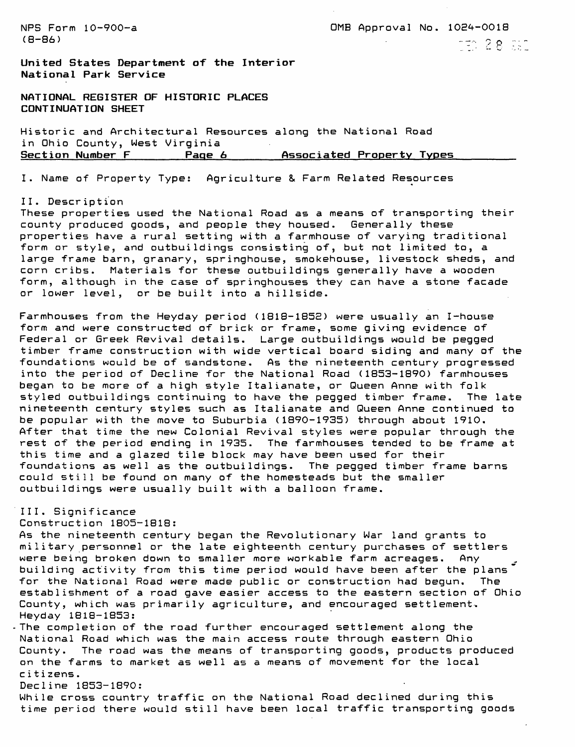(S-86) - --,, - o - . ^\_ rv - -

NFS Form 10-900-a 0MB Approval No. 10E4-0018

**United States Department of the Interior National Park Service**

**NATIONAL REGISTER OF HISTORIC PLACES CONTINUATION SHEET**

Historic and Architectural Resources along the National Road in Ohio County, West Virginia Section Number F\_\_\_\_\_\_\_Page 6 Associated Property Types

I. Name of Property Type: Agriculture & Farm Related Resources

#### II. Descr iption

These properties used the National Road as a means of transporting their county produced goods, and people they housed. Generally these properties have a rural setting with a farmhouse of varying traditional form or style, and outbuildings consisting of, but not limited to, a large frame barn, granary, springhouse, smokehouse, livestock sheds, and corn cribs. Materials for these outbuildings generally have a wooden form, although in the case of springhouses they can have a stone facade or lower level, or be built into a hillside.

Farmhouses from the Heyday period (1818-1852) were usually an I-house form and were constructed of brick or frame, some giving evidence of Federal or Greek Revival details. Large outbuildings would be pegged timber frame construction with wide vertical board siding and many of the foundations would be of sandstone. As the nineteenth century progressed into the period of Decline for the National Road (1853-1890) farmhouses began to be more of a high style Italianate, or Queen Anne with folk styled outbuildings continuing to have the pegged timber frame. The late nineteenth century styles such as Italianate and Queen Anne continued to be popular with the move to Suburbia (1890-1935) through about 1910. After that time the new Colonial Revival styles were popular through the rest of the period ending in 1935. The farmhouses tended to be frame at this time and a glazed tile block may have been used for their foundations as well as the outbuildings. The pegged timber frame barns could still be found on many of the homesteads but the smaller outbuildings were usually built with a balloon frame.

# III. Significance

Construction 1805-1818:

As the nineteenth century began the Revolutionary War land grants to military personnel or the late eighteenth century purchases of settlers were being broken down to smaller more workable farm acreages. Any building activity from this time period would have been after the plans" for the National Road were made public or construction had begun. The establishment of a road gave easier access to the eastern section of Ohio County, which was primarily agriculture, and encouraged settlement. Heyday 1818-1853:

The completion of the road further encouraged settlement along the National Road which was the main access route through eastern Ohio County. The road was the means of transporting goods, products produced on the farms to market as well as a means of movement for the local c i t i zens.

Decline 1853-1890:

While cross country traffic on the National Road declined during this time period there would still have been local traffic transporting goods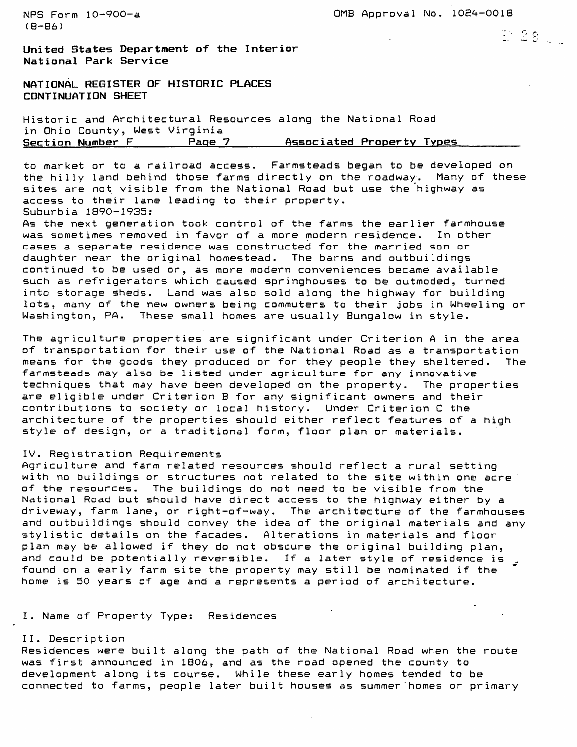NFS Form 10-900-a 0MB Approval No. 10E4-0018

D: 28 UN

**United States Department of the Interior National Park Service**

**NATIONAL REGISTER OF HISTORIC PLACES CONTINUATION SHEET**

Historic and Architectural Resources along the National Road in Ohio County, West Virginia Page 7 **Associated Property Types** 

to market or to a railroad access. Farmsteads began to be developed on the hilly land behind those farms directly on the roadway. Many of these sites are not visible from the National Road but use the highway as access to their lane leading to their property. Suburbia 1890-1935:

As the next generation took control of the farms the earlier farmhouse was sometimes removed in favor of a more modern residence. In other cases a separate residence was constructed for the married son or daughter near the original homestead. The barns and outbuildings continued to be used or, as more modern conveniences became available such as refrigerators which caused springhouses to be outmoded, turned into storage sheds. Land was also sold along the highway for building lots, many of the new owners being commuters to their jobs in Wheeling or Washington, PA. These small homes are usually Bungalow in style.

The agriculture properties are significant under Criterion A in the area of transportation for their use of the National Road as a transportation means for the goods they produced or for they people they sheltered. The farmsteads may also be listed under agriculture for any innovative techniques that may have been developed on the property. The properties are eligible under Criterion B for any significant owners and their contributions to society or local history. Under Criterion C the architecture of the properties should either reflect features of a high style of design, or a traditional form, floor plan or materials.

#### IV. Registration Requirements

Agriculture and farm related resources should reflect a rural setting with no buildings or structures not related to the site within one acre of the resources. The buildings do not need to be visible from the National Road but should have direct access to the highway either by a driveway, farm lane, or right-of-way. The architecture of the farmhouses and outbuildings should convey the idea of the original materials and any stylistic details on the facades. Alterations in materials and floor plan may be allowed if they do not obscure the original building plan, and could be potentially reversible. If a later style of residence is , found on a early farm site the property may still be nominated if the home is 50 years of age and a represents a period of architecture.

I. Name of Property Type: Residences

#### II. Description

Residences were built along the path of the National Road when the route was first announced in 1806, and as the road opened the county to development along its course. While these early homes tended to be connected to farms, people later built houses as summer'homes or primary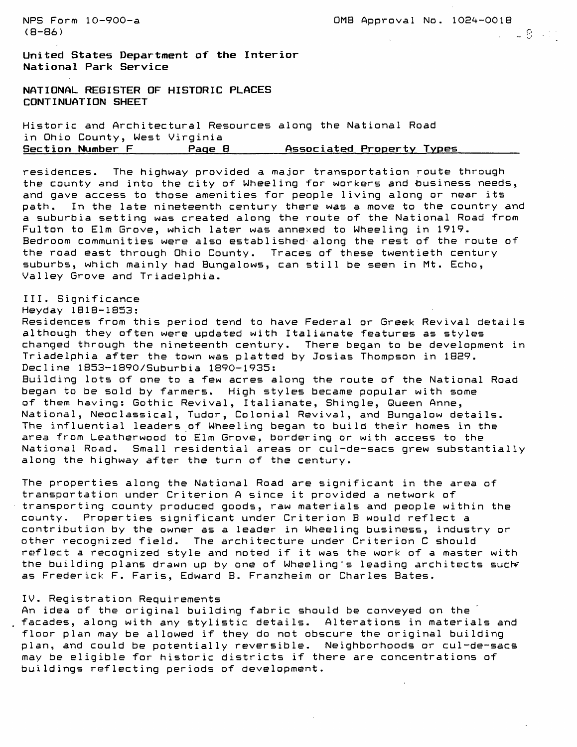NPS Form  $10-900-a$  0MB Approval No.  $1024-0018$ (8–86) substitution of the contract of the contract of the contract of the contract of the contract of the contract of the contract of the contract of the contract of the contract of the contract of the contract of the co

**United States Department of the Interior National Park Service**

**NATIONAL REGISTER OF HISTORIC PLACES CONTINUATION SHEET**

Historic and Architectural Resources along the National Road in Ohio County, West Virginia Section Number F **Page 8** Associated Property Types

residences. The highway provided a major transportation route through the county and into the city of Wheeling for workers and business needs, and gave access to those amenities for people living along or near its path. In the late nineteenth century there was a move to the country and a suburbia setting was created along the route of the National Road from Fulton to Elm Grove, which later was annexed to Wheeling in 1919. Bedroom communities were also established along the rest of the route of the road east through Ohio County. Traces of these twentieth century suburbs, which mainly had Bungalows, can still be seen in Mt. Echo, Valley Grove and Triadelphia.

III. Significance

Heyday 1818-1853:

Residences from this period tend to have Federal or Greek Revival details although they often were updated with Italianate features as styles changed through the nineteenth century. There began to be development in Triadelphia after the town was platted by Josias Thompson in 1829. Decline 1853-1890/Suburbia 1890-1935: Building lots of one to a few acres along the route of the National Road began to be sold by farmers. High styles became popular with some of them having: Gothic Revival, Italianate, Shingle, Queen Anne, National, Neoclassical, Tudor, Colonial Revival, and Bungalow details. The influential leaders of Wheeling began to build their homes in the area from Leatherwood to Elm Grove, bordering or with access to the National Road. Small residential areas or cul-de-sacs grew substantially

The properties along the National Road are significant in the area of transportation under Criterion A since it provided a network of transporting county produced goods, raw materials and people within the county. Properties significant under Criterion B would reflect a contribution by the owner as a leader in Wheeling business, industry or other recognized field. The architecture under Criterion C should reflect a recognized style and noted if it was the work of a master with the building plans drawn up by one of Wheeling's leading architects such as Frederick F. Faris, Edward B. Franzheim or Charles Bates.

#### IV. Registration Requirements

along the highway after the turn of the century.

An idea of the original building fabric should be conveyed on the facades, along with any stylistic details. Alterations in materials and floor plan may be allowed if they do not obscure the original building plan, and could be potentially reversible. Neighborhoods or cul-de-sacs may be eligible for historic districts if there are concentrations of buildings reflecting periods of development.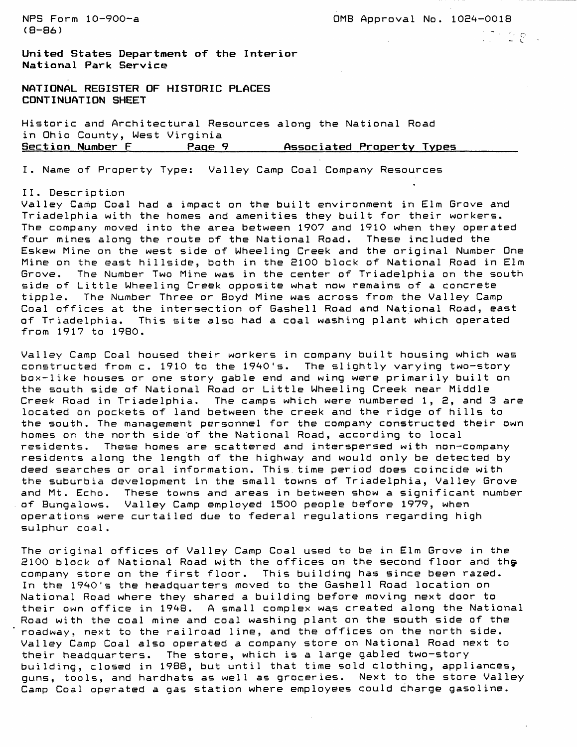NPS Form 10-900-a 0MB Approval No. 1024-0018 (8-86) - , respectively. The contraction of the contraction of the contraction of the contraction of the contraction of the contraction of the contraction of the contraction of the contraction of the contraction of the co

 $\mathbb{C} \cap \mathbb{C} \oplus \mathbb{C}$ 

**United States Department of the Interior National Park Service**

**NATIONAL REGISTER OF HISTORIC PLACES CONTINUATION SHEET**

Historic and Architectural Resources along the National Road in Ohio County, West Virginia Section Number F **Page 9 Associated Property Types** 

I. Name of Property Type: Valley Camp Coal Company Resources

#### 11 . Descr ipt i.on

Valley Camp Coal had a impact on the built environment in Elm Grove and Triadelphia with the homes and amenities they built for their workers. The company moved into the area between 1907 and 1910 when they operated four mines along the route of the National Road. These included the Eskew Mine on the west side of Wheeling Creek and the original Number One Mine on the east hillside, both in the 2100 block of National Road in Elm Grove. The Number Two Mine was in the center of Triadelphia on the south side of Little Wheeling Creek opposite what now remains of a concrete tipple. The Number Three or Boyd Mine was across from the Valley Camp Coal offices at the intersection of Gashell Road and National Road, east of Triadelphia. This site also had a coal washing plant which operated from 1917 to 1980.

Valley Camp Coal housed their workers in company built housing which was constructed from c. 1910 to the 1940's. The slightly varying two-story box-like houses or one story gable end and wing were primarily built on the south side of National Road or Little Wheeling Creek near Middle Creek Road in Triadelphia. The camps which were numbered 1, 2, and 3 are located on pockets of land between the creek and the ridge of hills to the south. The management personnel for the company constructed their own homes on the north side of the National Road, according to local residents. These homes are scattered and interspersed with non-company residents along the length of the highway and would only be detected by deed searches or oral information. This time period does coincide with the suburbia development in the small towns of Triadelphia, Valley Grove and Mt. Echo. These towns and areas in between show a significant number of Bungalows. Valley Camp employed 1500 people before 1979, when operations were curtailed due to federal regulations regarding high sulphur coal.

The original offices of Valley Camp Coal used to be in Elm Grove in the 2100 block of National Road with the offices on the second floor and the company store on the first floor. This building has since been razed. In the 1940's the headquarters moved to the Gashell Road location on National Road where they shared a building before moving next door to their own office in 1948. A small complex was created along the National Road with the coal mine and coal washing plant on the south side of the roadway, next to the railroad line, and the offices on the north side. Valley Camp Coal also operated a company store on National Road next to their headquarters. The store, which is a large gabled two-story building, closed in 1988, but until that time sold clothing, appliances, guns, tools, and hardhats as well as groceries. Next to the store Valley Camp Coal operated a gas station where employees could charge gasoline.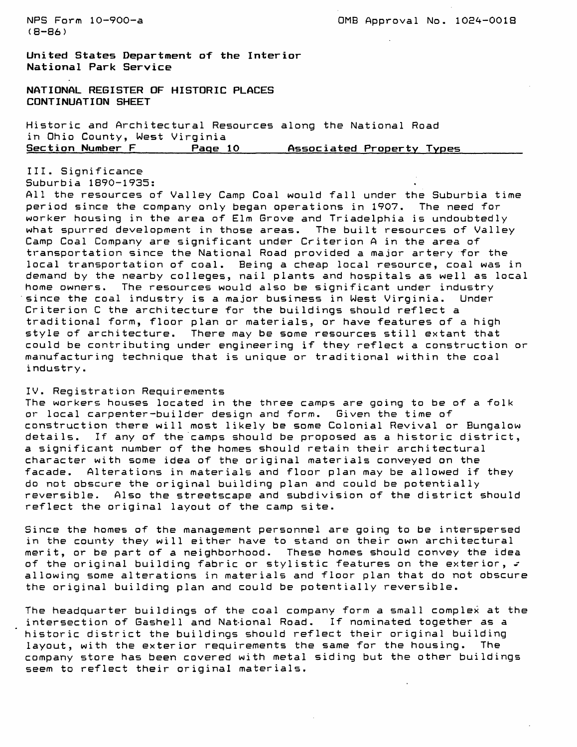NPS Form 10-900-a 2000 COMB Approval No. 1024-0018

**United States Department of the Interior National Park Service**

**NATIONAL REGISTER OF HISTORIC PLACES CONTINUATION SHEET**

Historic and Architectural Resources along the National Road in Ohio County, West Virginia<br>Section Number F Page **Section Number F\_\_\_\_\_\_\_Page 10\_\_\_\_\_\_Associated Property Types\_\_\_\_\_\_\_\_**

III. Significance Suburbia 1890-1935:

All the resources of Valley Camp Coal would fall under the Suburbia time period since the company only began operations in 1907. The need for worker housing in the area of Elm Grove and Triadelphia is undoubtedly what spurred development in those areas. The built resources of Valley Camp Coal Company are significant under Criterion A in the area of transportation since the National Road provided a major artery for the local transportation of coal. Being a cheap local resource, coal was in demand by the nearby colleges, nail plants and hospitals as well as local home owners. The resources would also be significant under industry since the coal industry is a major business in West Virginia. Under Criterion C the architecture for the buildings should reflect a traditional form, floor plan or materials, or have features of a high style of architecture. There may be some resources still extant that could be contributing under engineering if they reflect a construction or manufacturing technique that is unique or traditional within the coal industry.

## IV. Registration Requirements

The workers houses located in the three camps are going to be of a folk or local carpenter-builder design and form. Given the time of construction there will most likely be some Colonial Revival or Bungalow details. If any of the camps should be proposed as a historic district, a. significant number of the homes should retain their architectural character with some idea of the original materials conveyed on the facade. Alterations in materials and floor plan may be allowed if they do not obscure the original building plan and could be potentially reversible. Also the streetscape and subdivision of the district should reflect the original layout of the camp site.

Since the homes of the management personnel are going to be interspersed in the county they will either have to stand on their own architectural merit, or be part of a neighborhood. These homes should convey the idea of the original building fabric or stylistic features on the exterior,  $\varphi$ allowing some alterations in materials and floor plan that do not obscure the original building plan and could be potentially reversible.

The headquarter buildings of the coal company form a small complex at the intersection of Gashell and Nat-ional Road. If nominated together as a historic district the buildings should reflect their original building layout, with the exterior requirements the same for the housing. The company store has been covered with metal siding but the other buildings seem to reflect their original materials.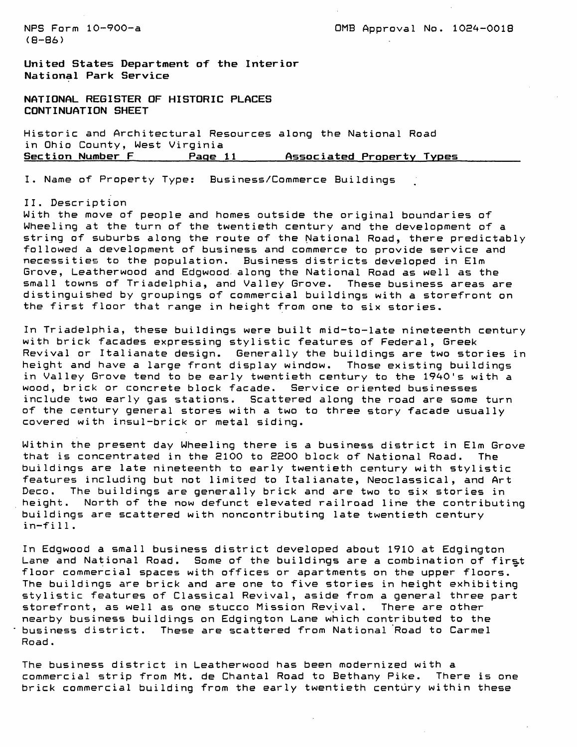**United States Department of the Interior National Park Service**

**NATIONAL REGISTER OF HISTORIC PLACES CONTINUATION SHEET**

Historic and Architectural Resources along the National Road in Ohio County, West Virginia Page 11 Associated Property Types

I. Name of Property Type: Business/Commerce Buildings

#### II. Description

With the move of people and homes outside the original boundaries of Wheeling at the turn of the twentieth century and the development of a string of suburbs along the route of the National Road, there predictably followed a development of business and commerce to provide service and necessities to the population. Business districts developed in Elm Grove, Leatherwood and Edgwood along the National Road as well as the small towns of Triadelphia, and Valley Grove. These business areas are distinguished by groupings of commercial buildings with a storefront on the first floor that range in height from one to six stories.

In Triadelphia, these buildings were built mid-to-late nineteenth century with brick facades expressing stylistic features of Federal, Greek Revival or Italianate design. Generally the buildings are two stories in height and have a large front display window. Those existing buildings in Valley Grove tend to be early twentieth century to the 1940's with a wood, brick or concrete block facade. Service oriented businesses include two early gas stations. Scattered along the road are some turn of the century general stores with a two to three story facade usually covered with insul-brick or metal siding.

Within the present day Wheeling there is a business district in Elm Grove that is concentrated in the 2100 to 2200 block of National Road. The buildings are late nineteenth to early twentieth century with stylistic features including but not limited to Italianate, Neoclassical, and Art Deco. The buildings are generally brick and are two to six stories in height. North of the now defunct elevated railroad line the contributing buildings are scattered with noncontributing late twentieth century in-fill .

In Edgwood a small business district developed about 1910 at Edgington Lane and National Road. Some of the buildings are a combination of first floor commercial spaces with offices or apartments on the upper floors. The buildings are brick and are one to five stories in height exhibiting stylistic features of Classical Revival, aside from a general three part storefront, as well as one stucco Mission Revival. There are other nearby business buildings on Edgington Lane which contributed to the business district. These are scattered from National Road to Carmel Road .

The business district in Leatherwood has been modernized with a commercial strip from Mt. de Chantal Road to Bethany Pike. There is one brick commercial building from the early twentieth century within these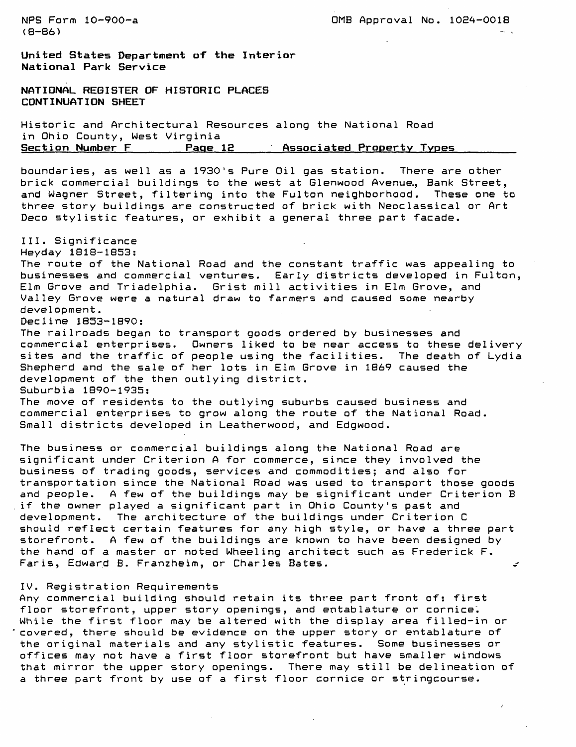**United States Department of the Interior National Park Service**

NATIONAL REGISTER OF HISTORIC PLACES CONTINUATION SHEET

Historic and Architectural Resources along the National Road in Ohio County, West Virginia Page 12 Associated Property Types

boundaries, as well as a 1930's Pure Oil gas station. There are other brick commercial buildings to the west at Glenwood Avenue,, Bank Street, and Wagner Street, filtering into the Fulton neighborhood. These one to three story buildings are constructed of brick with Neoclassical or Art Deco stylistic features, or exhibit a general three part facade.

III. Significance Heyday 1818-1853: The route of the National Road and the constant traffic was appealing to businesses and commercial ventures. Early districts developed in Fulton, Elm Grove and Triadelphia. Grist mill activities in Elm Grove, and Valley Grove were a natural draw to farmers and caused some nearby development. Decline 1853-1890: The railroads began to transport goods ordered by businesses and commercial enterprises. Owners liked to be near access to these delivery sites and the traffic of people using the facilities. The death of Lydia Shepherd and the sale of her lots in Elm Grove in 1869 caused the development of the then outlying district. Suburbia 1890-1935: The move of residents to the outlying suburbs caused business and commercial enterprises to grow along the route of the National Road. Small districts developed in Leatherwood, and Edgwood.

The business or commercial buildings along the National Road are significant under Criterion A for commerce, since they involved the business of trading goods, services and commodities; and also for transportation since the National Road was used to transport those goods and people. A few of the buildings may be significant under Criterion B if the owner played a significant part in Ohio County's past and development. The architecture of the buildings under Criterion C should reflect certain features for any high style, or have a three part storefront. A few of the buildings are known to have been designed by the hand of a master or noted Wheeling architect such as Frederick F. Faris, Edward B. Franzheim, or Charles Bates. s

#### IV. Registration Requirements

Any commercial building should retain its three part front of: first floor storefront, upper story openings, and entablature or cornice. While the first floor may be altered with the display area filled-in or covered, there should be evidence on the upper story or entablature of the original materials and any stylistic features. Some businesses or offices may not have a first floor storefront but have smaller windows that mirror the upper story openings. There may still be delineation of a three part front by use of a first floor cornice or stringcourse.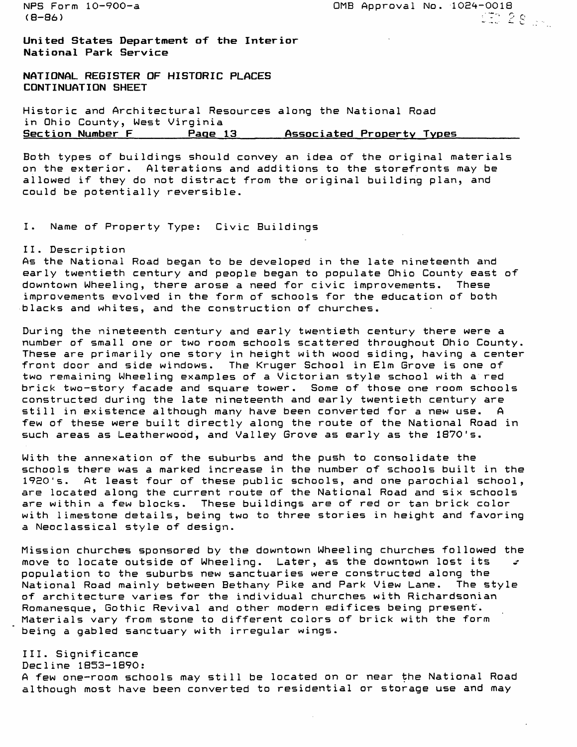(8-86) : The Contract of the Contract of the Contract of the Contract of the Contract of the Contract of the C

NFS Form 10-900-a 0MB Approval No. 10E4-O018

**United States Department of the Interior National Park Service**

**NATIONAL REGISTER OF HISTORIC PLACES CONTINUATION SHEET**

Historic and Architectural Resources along the National Road in Ohio County, West Virginia Page 13 Associated Property Types

Both types of buildings should convey an idea of the original materials on the exterior. Alterations and additions to the storefronts may be allowed if they do not distract from the original building plan, and could be potentially reversible.

I. Name of Property Type: Civic Buildings

#### II. Descr iption

As the National Road began to be developed in the late nineteenth and early twentieth century and people began to populate Ohio County east of downtown Wheeling, there arose a need for civic improvements. These improvements evolved in the form of schools for the education of both blacks and whites, and the construction of churches.

During the nineteenth century and early twentieth century there were a number of small one or two room schools scattered throughout Ohio County. These are primarily one story in height with wood siding, having a center front door and side windows. The Kruger School in Elm Grove is one of two remaining Wheeling examples of a Victorian style school with a red brick two-story facade and square tower. Some of those one room schools constructed during the late nineteenth and early twentieth century are still in existence although many have been converted for a new use. A few of these were built directly along the route of the National Road in such areas as Leatherwood, and Valley Grove as early as the 1870's.

With the annexation of the suburbs and the push to consolidate the schools there was a marked increase in the number of schools built in the 1920's. At least four of these public schools, and one parochial school, are located along the current route of the National Road and six schools are within a few blocks. These buildings are of red or tan brick color with limestone details, being two to three stories in height and favoring a Neoclassical style of design.

Mission churches sponsored by the downtown Wheeling churches followed the move to locate outside of Wheeling. Later, as the downtown lost its  $s$ population to the suburbs new sanctuaries were constructed along the National Road mainly between Bethany Pike and Park View Lane. The style of architecture varies for the individual churches with Richardsonian Romanesque, Gothic Revival and other modern edifices being present. Materials vary from stone to different colors of brick with the form being a gabled sanctuary with irregular wings.

## III. Significance

Decline 1853-1890:

A few one-room schools may still be located on or near the National Road although most have been converted to residential or storage use and may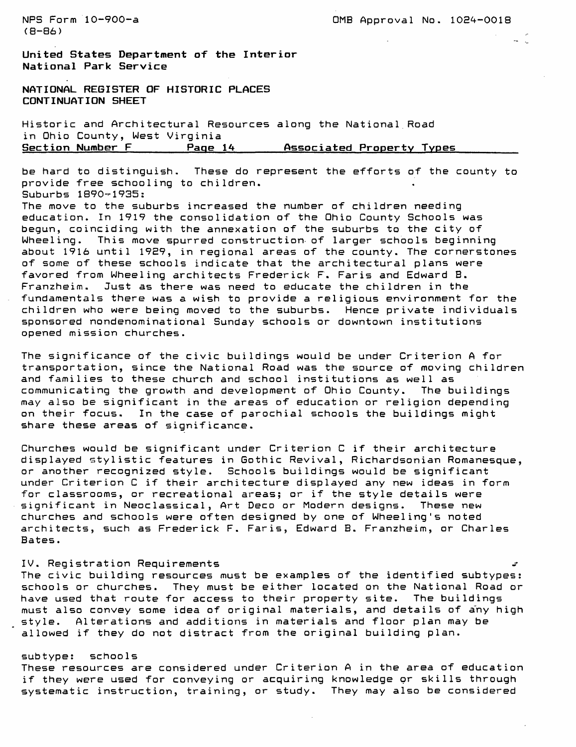**United States Department of the Interior National Park Service**

**NATIONAL REGISTER OF HISTORIC PLACES CONTINUATION SHEET**

Historic and Architectural Resources along the National Road in Ohio County, West Virginia **Section Number F\_\_\_\_\_\_\_Page 14\_\_\_\_\_\_Associated Property Types\_\_\_\_\_\_\_**

be hard to distinguish. These do represent the efforts of the county to provide free schooling to children. Suburbs 1890-1935:

The move to the suburbs increased the number of children needing education. In 1919 the consolidation of the Ohio County Schools was begun, coinciding with the annexation of the suburbs to the city of Wheeling. This move spurred construction of larger schools beginning about 1916 until 19E9, in regional areas of the county. The cornerstones of some of these schools indicate that the architectural plans were favored from Wheeling architects Frederick F. Faris and Edward B. Franzheim. Just as there was need to educate the children in the fundamentals there was a wish to provide a religious environment for the children who were being moved to the suburbs. Hence private individuals sponsored nondenominational Sunday schools or downtown institutions opened mission churches.

The significance of the civic buildings would be under Criterion A for transportation, since the National Road was the source of moving children and families to these church and school institutions as well as communicating the growth and development of Ohio County. The buildings may also be significant in the areas of education or religion depending on their focus. In the case of parochial schools the buildings might share these areas of significance.

Churches would be significant under Criterion C if their architecture displayed stylistic features in Gothic Revival, Richardsonian Romanesque, or another recognized style. Schools buildings would be significant under Criterion C if their architecture displayed any new ideas in form for classrooms, or recreational areas; or if the style details were significant in Neoclassical, Art Deco or Modern designs. These new churches and schools were often designed by one of Wheeling's noted architects, such as Frederick F. Faris, Edward B. Franzheim, or Charles Bates.

#### IV. Registration Requirements

The civic building resources must be examples of the identified subtypes: schools or churches. They must be either located on the National Road or have used that route for access to their property site. The buildings must also convey some idea of original materials, and details of any high style. Alterations and additions in materials and floor plan may be allowed if they do not distract from the original building plan.

## subtype: schools

These resources are considered under Criterion A in the area of education if they were used for conveying or acquiring knowledge or skills through systematic instruction, training, or study. They may also be considered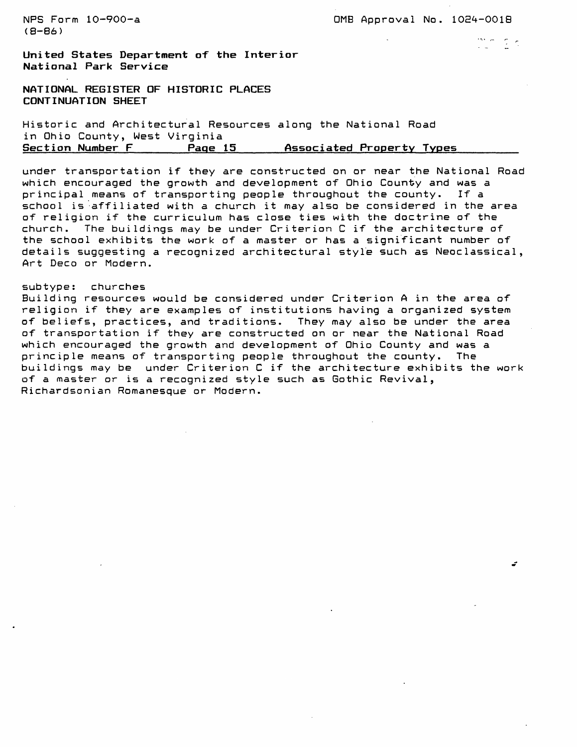$(B - B6)$ 

**United States Department of the Interior National Park Service**

**NATIONAL REGISTER OF HISTORIC PLACES CONTINUATION SHEET**

Historic and Architectural Resources along the National Road in Ohio County, West Virginia<br>Section Number F Page Page 15 **Associated Property Types** 

under transportation if they are constructed on or near the National Road which encouraged the growth and development of Ohio County and was a<br>principal means of transporting people throughout the county. If a principal means of transporting people throughout the county. school is affiliated with a church it may also be considered in the area of religion if the curriculum has close ties with the doctrine of the church. The buildings may be under Criterion C if the architecture of the school exhibits the work of a master or has a significant number of details suggesting a recognized architectural style such as Neoclassical, Art Deco or Modern.

#### subtype: churches

Building resources would be considered under Criterion A in the area of religion if they are examples of institutions having a organized system of beliefs, practices, and traditions. They may also be under the area of transportation if they are constructed on or near the National Road which encouraged the growth and development of Ohio County and was a principle means of transporting people throughout the county. The buildings may be under Criterion C if the architecture exhibits the work of a master or is a recognized style such as Gothic Revival, Richardsonian Romanesque or Modern.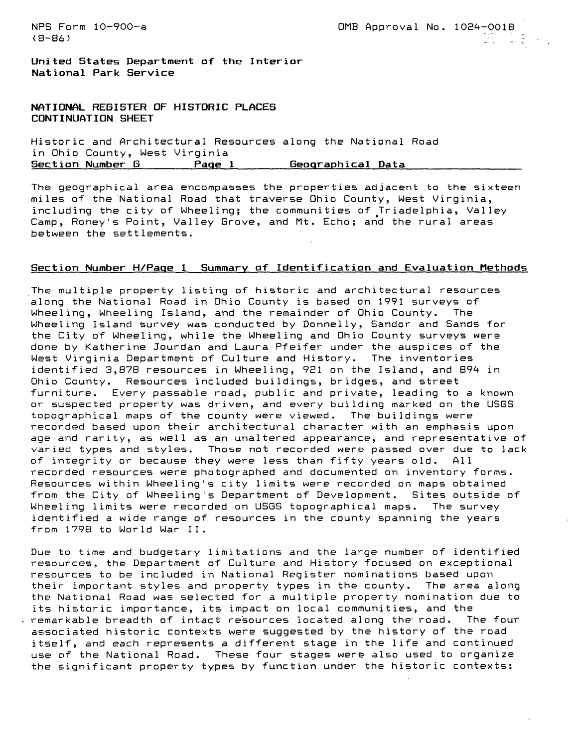(8–86) l.: 1990 l.: 1990 l.: 1990 l.: 1990 l.: 1990 l.: 1990 l.: 1990 l.: 1990 l.: 1990 l.: 1990 l.: 1990 l.: 1

**United States Department of the Interior National Park Service**

**NATIONAL REGISTER OF HISTORIC PLACES CONTINUATION SHEET**

Historic and Architectural Resources along the National Road in Ohio County, West Virginia Section Number G \_\_\_\_\_\_Page 1 \_\_\_\_\_\_ Geographical Data

The geographical area encompasses the properties adjacent to the sixteen miles of the National Road that traverse Ohio County, West Virginia, including the city of Wheeling; the communities of Triadelphia, Valley Camp, Roney's Point, Valley Grove, and Mt. Echo; and the rural areas between the settlements.

# **Section Number H/Paqe 1 Summary of Identification and Evaluation Methods**

The multiple property listing of historic and architectural resources along the National Road in Ohio County is based on 1991 surveys of Wheeling, Wheeling Island, and the remainder of Ohio County. The Wheeling Island survey was conducted by Donnelly, Sandor and Sands for the City of Wheeling, while the Wheeling and Ohio County surveys were done by Katherine Jourdan and Laura Pfeifer under the auspices of the West Virginia Department of Culture and History. The inventories identified 3,878 resources in Wheeling, 921 on the Island, and 894 in Ohio County. Resources included buildings, bridges, and street furniture. Every passable road, public and private, leading to a known or suspected property was driven, and every building marked on the USGS topographical maps of the county were viewed. The buildings were recorded based upon their architectural character with an emphasis upon age and rarity, as well as an unaltered appearance, and representative of varied types and styles. Those not recorded were passed over due to lack of integrity or because they were less than fifty years old. All recorded resources were photographed and documented on inventory forms. Resources within Wheeling's city limits were recorded on maps obtained from the City of Wheeling's Department of Development. Sites outside of Wheeling limits were recorded on USGS topographical maps. The survey identified a wide range of resources in the county spanning the years from 1798 to World War II.

Due to time and budgetary limitations and the large number of identified resources, the Department of Culture and History focused on exceptional resources to be included in National Register nominations based upon their important styles and property types in the county. The area along the National Road was selected for a multiple property nomination due to its historic importance, its impact on local communities, and the remarkable breadth of intact resources located along the- road. The four associated historic contexts were suggested by the history of the road itself, and each represents a different stage in the life and continued use of the National Road. These four stages were also used to organize the significant property types by function under the historic contexts: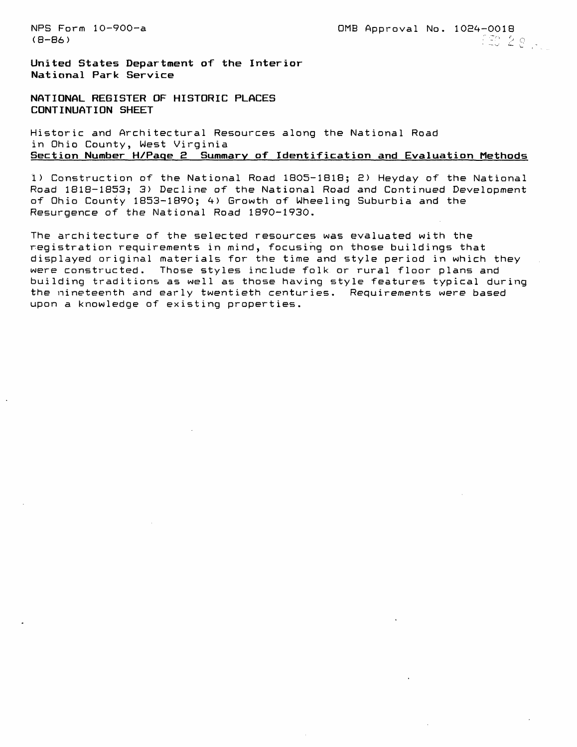NFS Form 10-900-a 0MB Approval No. 102^-0018  $(48, 28, 1)$ 

**United States Department of the Interior National Park Service**

**NATIONAL REGISTER OF HISTORIC PLACES CONTINUATION SHEET**

Historic and Architectural Resources along the National Road in Ohio County, West Virginia Section Number H/Page 2 Summary of Identification and Evaluation Methods

1) Construction of the National Road 1805-1818; E) Heyday of the National Road 1818-1853; 3) Decline of the National Road and Continued Development of Ohio County 1853-1890; 4) Growth of Wheeling Suburbia and the Resurgence of the National Road 1890-1930.

The architecture of the selected resources was evaluated with the registration requirements in mind, focusing on those buildings that displayed original materials for the time and style period in which they were constructed. Those styles include folk or rural floor plans and building traditions as well as those having style features typical during the nineteenth and early twentieth centuries. Requirements were based upon a knowledge of existing properties.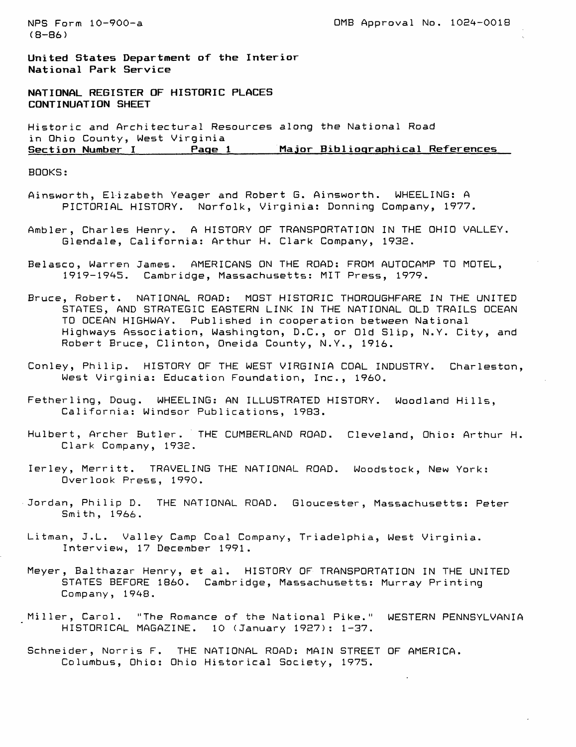$(B - B6)$ 

NPS Form 10-900-a 0MB Approval No. 10E4-0018

**United States Department of the Interior National Park Service**

**NATIONAL REGISTER OF HISTORIC PLACES CONTINUATION SHEET**

Historic and Architectural Resources along the National Road in Ohio County, West Virginia **Major Bibliographical References** 

BOOKS:

- Ainsworth, Elizabeth Yeager and Robert G. Ainsworth. WHEELING: A PICTORIAL HISTORY. Norfolk, Virginia: Donning Company, 1977.
- Ambler, Charles Henry. A HISTORY OF TRANSPORTATION IN THE OHIO VALLEY. Glendale, California: Arthur H. Clark Company, 1932.
- Belasco, Warren James. AMERICANS ON THE ROAD: FROM AUTOCAMP TO MOTEL, 1919-1945. Cambridge, Massachusetts: MIT Press, 1979.
- Bruce, Robert. NATIONAL ROAD: MOST HISTORIC THOROUGHFARE IN THE UNITED STATES, AND STRATEGIC EASTERN LINK IN THE NATIONAL OLD TRAILS OCEAN TO OCEAN HIGHWAY. Published in cooperation between National Highways Association, Washington, D.C., or Old Slip, N.Y. City, and Robert Bruce, Clinton, Oneida County, N.Y., 1916.
- Conley, Philip. HISTORY OF THE WEST VIRGINIA COAL INDUSTRY. Charleston, West Virginia: Education Foundation, Inc., 1960.
- Fetherling, Doug. WHEELING: AN ILLUSTRATED HISTORY. Woodland Hills, California: Windsor Publications, 1983.
- Hulbert, Archer Butler. THE CUMBERLAND ROAD. Cleveland, Ohio: Arthur H. Clark Company, 193E.
- lerley, Merritt. TRAVELING THE NATIONAL ROAD. Woodstock, New York: Overlook Press, 1990.
- Jordan, Philip D. THE NATIONAL ROAD. Gloucester, Massachusetts: Peter Smith, 1966.
- Litman, J.L. Valley Camp Coal Company, Triadelphia, West Virginia. Interview, 17 December 1991.
- Meyer, Balthazar Henry, et al. HISTORY OF TRANSPORTATION IN THE UNITED STATES BEFORE 1860. Cambridge, Massachusetts: Murray Printing Company, 1948.
- Miller, Carol. "The Romance of the National Pike." WESTERN PENNSYLVANIA HISTORICAL MAGAZINE. 10 (January 1927): 1-37.
- Schneider, Norris F. THE NATIONAL ROAD: MAIN STREET OF AMERICA. Columbus, Ohio: Ohio Historical Society, 1975.